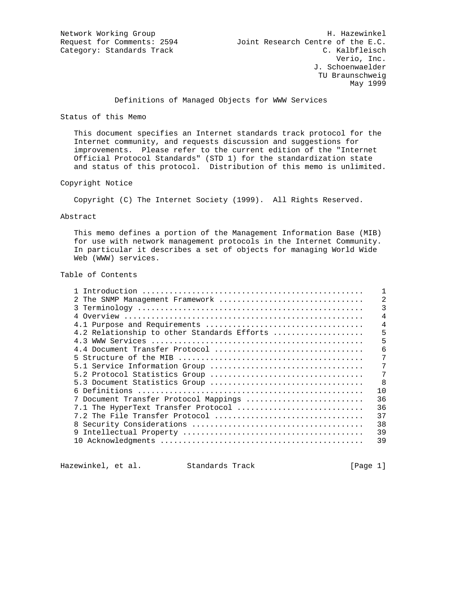Definitions of Managed Objects for WWW Services

#### Status of this Memo

 This document specifies an Internet standards track protocol for the Internet community, and requests discussion and suggestions for improvements. Please refer to the current edition of the "Internet Official Protocol Standards" (STD 1) for the standardization state and status of this protocol. Distribution of this memo is unlimited.

# Copyright Notice

Copyright (C) The Internet Society (1999). All Rights Reserved.

#### Abstract

 This memo defines a portion of the Management Information Base (MIB) for use with network management protocols in the Internet Community. In particular it describes a set of objects for managing World Wide Web (WWW) services.

#### Table of Contents

| 2 The SNMP Management Framework             |    |
|---------------------------------------------|----|
|                                             | 3  |
|                                             | 4  |
|                                             | 4  |
| 4.2 Relationship to other Standards Efforts | 5  |
|                                             | 5  |
|                                             | б  |
|                                             | 7  |
| 5.1 Service Information Group               | 7  |
|                                             | 7  |
|                                             | 8  |
|                                             | 10 |
| 7 Document Transfer Protocol Mappings       | 36 |
| 7.1 The HyperText Transfer Protocol         | 36 |
| 7.2 The File Transfer Protocol              | 37 |
|                                             | 38 |
|                                             | 39 |
|                                             | 39 |
|                                             |    |

Hazewinkel, et al. Standards Track [Page 1]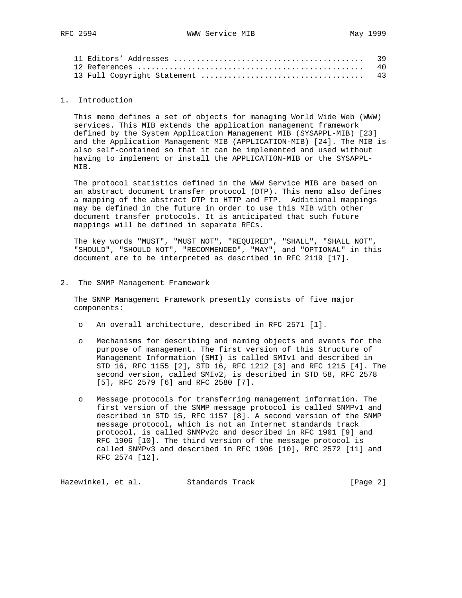| 39  |
|-----|
| 40  |
| -43 |

#### 1. Introduction

 This memo defines a set of objects for managing World Wide Web (WWW) services. This MIB extends the application management framework defined by the System Application Management MIB (SYSAPPL-MIB) [23] and the Application Management MIB (APPLICATION-MIB) [24]. The MIB is also self-contained so that it can be implemented and used without having to implement or install the APPLICATION-MIB or the SYSAPPL- MIB.

 The protocol statistics defined in the WWW Service MIB are based on an abstract document transfer protocol (DTP). This memo also defines a mapping of the abstract DTP to HTTP and FTP. Additional mappings may be defined in the future in order to use this MIB with other document transfer protocols. It is anticipated that such future mappings will be defined in separate RFCs.

 The key words "MUST", "MUST NOT", "REQUIRED", "SHALL", "SHALL NOT", "SHOULD", "SHOULD NOT", "RECOMMENDED", "MAY", and "OPTIONAL" in this document are to be interpreted as described in RFC 2119 [17].

2. The SNMP Management Framework

 The SNMP Management Framework presently consists of five major components:

- o An overall architecture, described in RFC 2571 [1].
- o Mechanisms for describing and naming objects and events for the purpose of management. The first version of this Structure of Management Information (SMI) is called SMIv1 and described in STD 16, RFC 1155 [2], STD 16, RFC 1212 [3] and RFC 1215 [4]. The second version, called SMIv2, is described in STD 58, RFC 2578 [5], RFC 2579 [6] and RFC 2580 [7].
- o Message protocols for transferring management information. The first version of the SNMP message protocol is called SNMPv1 and described in STD 15, RFC 1157 [8]. A second version of the SNMP message protocol, which is not an Internet standards track protocol, is called SNMPv2c and described in RFC 1901 [9] and RFC 1906 [10]. The third version of the message protocol is called SNMPv3 and described in RFC 1906 [10], RFC 2572 [11] and RFC 2574 [12].

Hazewinkel, et al. Standards Track [Page 2]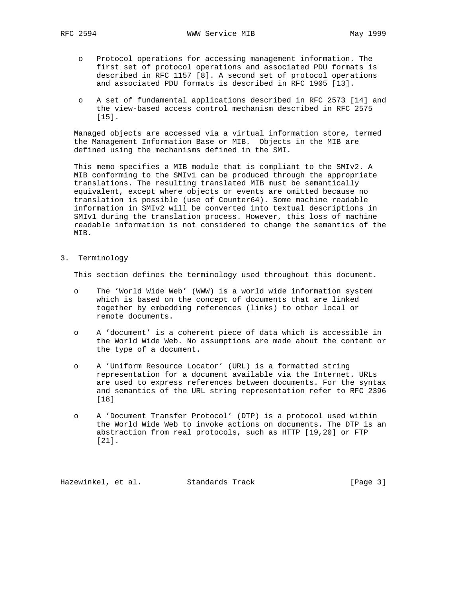- o Protocol operations for accessing management information. The first set of protocol operations and associated PDU formats is described in RFC 1157 [8]. A second set of protocol operations and associated PDU formats is described in RFC 1905 [13].
- o A set of fundamental applications described in RFC 2573 [14] and the view-based access control mechanism described in RFC 2575 [15].

 Managed objects are accessed via a virtual information store, termed the Management Information Base or MIB. Objects in the MIB are defined using the mechanisms defined in the SMI.

 This memo specifies a MIB module that is compliant to the SMIv2. A MIB conforming to the SMIv1 can be produced through the appropriate translations. The resulting translated MIB must be semantically equivalent, except where objects or events are omitted because no translation is possible (use of Counter64). Some machine readable information in SMIv2 will be converted into textual descriptions in SMIv1 during the translation process. However, this loss of machine readable information is not considered to change the semantics of the MIB.

3. Terminology

This section defines the terminology used throughout this document.

- o The 'World Wide Web' (WWW) is a world wide information system which is based on the concept of documents that are linked together by embedding references (links) to other local or remote documents.
- o A 'document' is a coherent piece of data which is accessible in the World Wide Web. No assumptions are made about the content or the type of a document.
- o A 'Uniform Resource Locator' (URL) is a formatted string representation for a document available via the Internet. URLs are used to express references between documents. For the syntax and semantics of the URL string representation refer to RFC 2396 [18]
- o A 'Document Transfer Protocol' (DTP) is a protocol used within the World Wide Web to invoke actions on documents. The DTP is an abstraction from real protocols, such as HTTP [19,20] or FTP [21].

Hazewinkel, et al. Standards Track [Page 3]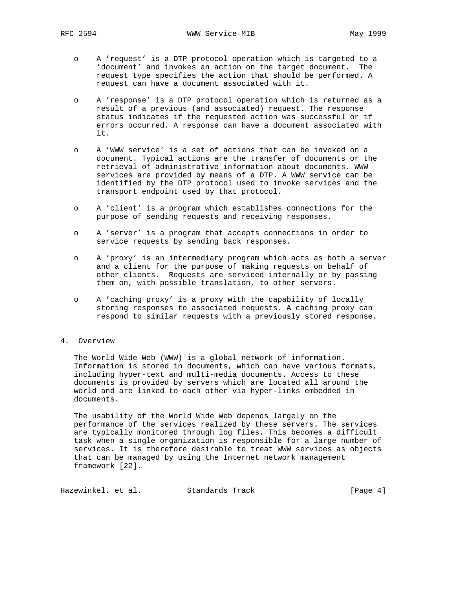- o A 'request' is a DTP protocol operation which is targeted to a 'document' and invokes an action on the target document. The request type specifies the action that should be performed. A request can have a document associated with it.
- o A 'response' is a DTP protocol operation which is returned as a result of a previous (and associated) request. The response status indicates if the requested action was successful or if errors occurred. A response can have a document associated with it.
- o A 'WWW service' is a set of actions that can be invoked on a document. Typical actions are the transfer of documents or the retrieval of administrative information about documents. WWW services are provided by means of a DTP. A WWW service can be identified by the DTP protocol used to invoke services and the transport endpoint used by that protocol.
- o A 'client' is a program which establishes connections for the purpose of sending requests and receiving responses.
- o A 'server' is a program that accepts connections in order to service requests by sending back responses.
- o A 'proxy' is an intermediary program which acts as both a server and a client for the purpose of making requests on behalf of other clients. Requests are serviced internally or by passing them on, with possible translation, to other servers.
- o A 'caching proxy' is a proxy with the capability of locally storing responses to associated requests. A caching proxy can respond to similar requests with a previously stored response.

# 4. Overview

 The World Wide Web (WWW) is a global network of information. Information is stored in documents, which can have various formats, including hyper-text and multi-media documents. Access to these documents is provided by servers which are located all around the world and are linked to each other via hyper-links embedded in documents.

 The usability of the World Wide Web depends largely on the performance of the services realized by these servers. The services are typically monitored through log files. This becomes a difficult task when a single organization is responsible for a large number of services. It is therefore desirable to treat WWW services as objects that can be managed by using the Internet network management framework [22].

Hazewinkel, et al. Standards Track [Page 4]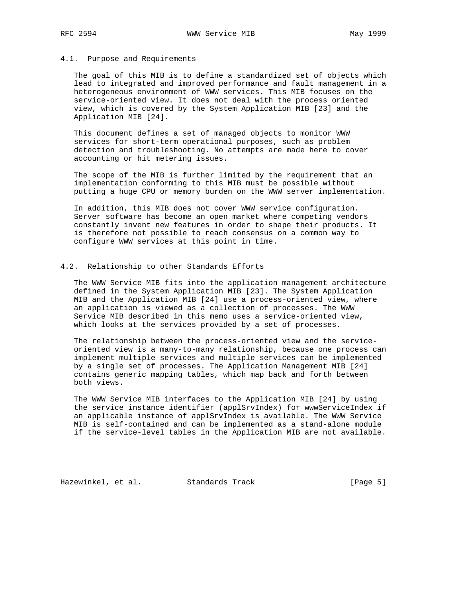#### 4.1. Purpose and Requirements

 The goal of this MIB is to define a standardized set of objects which lead to integrated and improved performance and fault management in a heterogeneous environment of WWW services. This MIB focuses on the service-oriented view. It does not deal with the process oriented view, which is covered by the System Application MIB [23] and the Application MIB [24].

 This document defines a set of managed objects to monitor WWW services for short-term operational purposes, such as problem detection and troubleshooting. No attempts are made here to cover accounting or hit metering issues.

 The scope of the MIB is further limited by the requirement that an implementation conforming to this MIB must be possible without putting a huge CPU or memory burden on the WWW server implementation.

 In addition, this MIB does not cover WWW service configuration. Server software has become an open market where competing vendors constantly invent new features in order to shape their products. It is therefore not possible to reach consensus on a common way to configure WWW services at this point in time.

#### 4.2. Relationship to other Standards Efforts

 The WWW Service MIB fits into the application management architecture defined in the System Application MIB [23]. The System Application MIB and the Application MIB [24] use a process-oriented view, where an application is viewed as a collection of processes. The WWW Service MIB described in this memo uses a service-oriented view, which looks at the services provided by a set of processes.

 The relationship between the process-oriented view and the service oriented view is a many-to-many relationship, because one process can implement multiple services and multiple services can be implemented by a single set of processes. The Application Management MIB [24] contains generic mapping tables, which map back and forth between both views.

 The WWW Service MIB interfaces to the Application MIB [24] by using the service instance identifier (applSrvIndex) for wwwServiceIndex if an applicable instance of applSrvIndex is available. The WWW Service MIB is self-contained and can be implemented as a stand-alone module if the service-level tables in the Application MIB are not available.

Hazewinkel, et al. Standards Track [Page 5]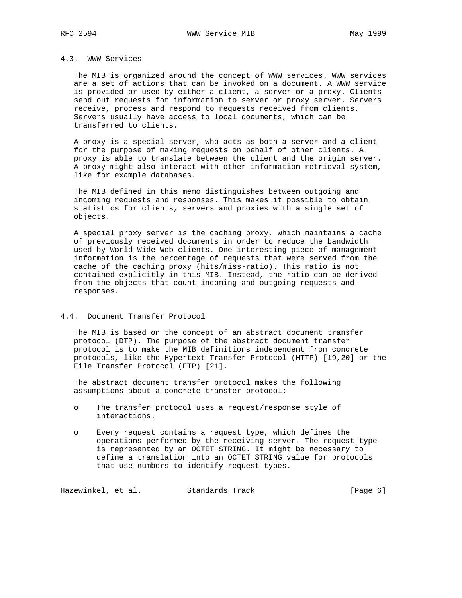# 4.3. WWW Services

 The MIB is organized around the concept of WWW services. WWW services are a set of actions that can be invoked on a document. A WWW service is provided or used by either a client, a server or a proxy. Clients send out requests for information to server or proxy server. Servers receive, process and respond to requests received from clients. Servers usually have access to local documents, which can be transferred to clients.

 A proxy is a special server, who acts as both a server and a client for the purpose of making requests on behalf of other clients. A proxy is able to translate between the client and the origin server. A proxy might also interact with other information retrieval system, like for example databases.

 The MIB defined in this memo distinguishes between outgoing and incoming requests and responses. This makes it possible to obtain statistics for clients, servers and proxies with a single set of objects.

 A special proxy server is the caching proxy, which maintains a cache of previously received documents in order to reduce the bandwidth used by World Wide Web clients. One interesting piece of management information is the percentage of requests that were served from the cache of the caching proxy (hits/miss-ratio). This ratio is not contained explicitly in this MIB. Instead, the ratio can be derived from the objects that count incoming and outgoing requests and responses.

# 4.4. Document Transfer Protocol

 The MIB is based on the concept of an abstract document transfer protocol (DTP). The purpose of the abstract document transfer protocol is to make the MIB definitions independent from concrete protocols, like the Hypertext Transfer Protocol (HTTP) [19,20] or the File Transfer Protocol (FTP) [21].

 The abstract document transfer protocol makes the following assumptions about a concrete transfer protocol:

- o The transfer protocol uses a request/response style of interactions.
- o Every request contains a request type, which defines the operations performed by the receiving server. The request type is represented by an OCTET STRING. It might be necessary to define a translation into an OCTET STRING value for protocols that use numbers to identify request types.

Hazewinkel, et al. Standards Track [Page 6]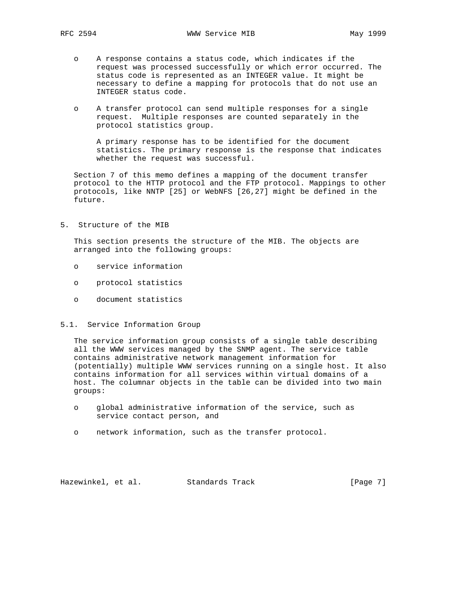- o A response contains a status code, which indicates if the request was processed successfully or which error occurred. The status code is represented as an INTEGER value. It might be necessary to define a mapping for protocols that do not use an INTEGER status code.
- o A transfer protocol can send multiple responses for a single request. Multiple responses are counted separately in the protocol statistics group.

 A primary response has to be identified for the document statistics. The primary response is the response that indicates whether the request was successful.

 Section 7 of this memo defines a mapping of the document transfer protocol to the HTTP protocol and the FTP protocol. Mappings to other protocols, like NNTP [25] or WebNFS [26,27] might be defined in the future.

5. Structure of the MIB

 This section presents the structure of the MIB. The objects are arranged into the following groups:

- o service information
- o protocol statistics
- o document statistics
- 5.1. Service Information Group

 The service information group consists of a single table describing all the WWW services managed by the SNMP agent. The service table contains administrative network management information for (potentially) multiple WWW services running on a single host. It also contains information for all services within virtual domains of a host. The columnar objects in the table can be divided into two main groups:

- o global administrative information of the service, such as service contact person, and
- o network information, such as the transfer protocol.

Hazewinkel, et al. Standards Track [Page 7]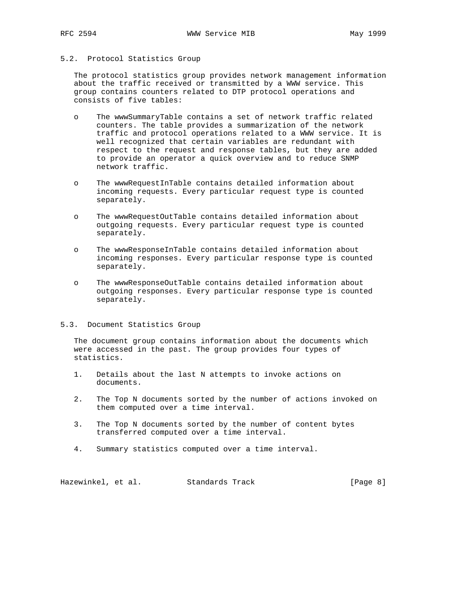# 5.2. Protocol Statistics Group

 The protocol statistics group provides network management information about the traffic received or transmitted by a WWW service. This group contains counters related to DTP protocol operations and consists of five tables:

- o The wwwSummaryTable contains a set of network traffic related counters. The table provides a summarization of the network traffic and protocol operations related to a WWW service. It is well recognized that certain variables are redundant with respect to the request and response tables, but they are added to provide an operator a quick overview and to reduce SNMP network traffic.
- o The wwwRequestInTable contains detailed information about incoming requests. Every particular request type is counted separately.
- o The wwwRequestOutTable contains detailed information about outgoing requests. Every particular request type is counted separately.
- o The wwwResponseInTable contains detailed information about incoming responses. Every particular response type is counted separately.
- o The wwwResponseOutTable contains detailed information about outgoing responses. Every particular response type is counted separately.

#### 5.3. Document Statistics Group

 The document group contains information about the documents which were accessed in the past. The group provides four types of statistics.

- 1. Details about the last N attempts to invoke actions on documents.
- 2. The Top N documents sorted by the number of actions invoked on them computed over a time interval.
- 3. The Top N documents sorted by the number of content bytes transferred computed over a time interval.
- 4. Summary statistics computed over a time interval.

Hazewinkel, et al. Standards Track [Page 8]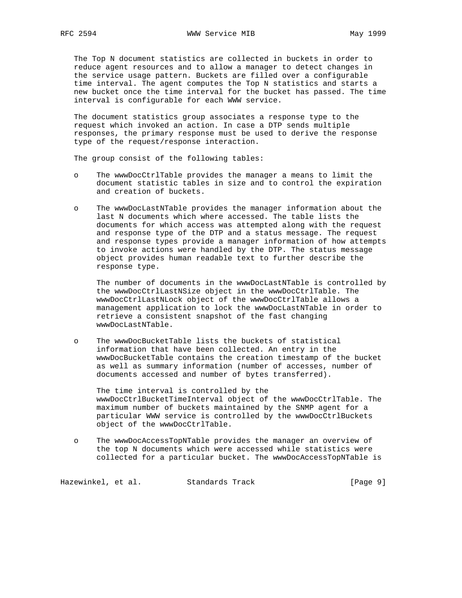The Top N document statistics are collected in buckets in order to reduce agent resources and to allow a manager to detect changes in the service usage pattern. Buckets are filled over a configurable time interval. The agent computes the Top N statistics and starts a new bucket once the time interval for the bucket has passed. The time interval is configurable for each WWW service.

 The document statistics group associates a response type to the request which invoked an action. In case a DTP sends multiple responses, the primary response must be used to derive the response type of the request/response interaction.

The group consist of the following tables:

- o The wwwDocCtrlTable provides the manager a means to limit the document statistic tables in size and to control the expiration and creation of buckets.
- o The wwwDocLastNTable provides the manager information about the last N documents which where accessed. The table lists the documents for which access was attempted along with the request and response type of the DTP and a status message. The request and response types provide a manager information of how attempts to invoke actions were handled by the DTP. The status message object provides human readable text to further describe the response type.

 The number of documents in the wwwDocLastNTable is controlled by the wwwDocCtrlLastNSize object in the wwwDocCtrlTable. The wwwDocCtrlLastNLock object of the wwwDocCtrlTable allows a management application to lock the wwwDocLastNTable in order to retrieve a consistent snapshot of the fast changing wwwDocLastNTable.

 o The wwwDocBucketTable lists the buckets of statistical information that have been collected. An entry in the wwwDocBucketTable contains the creation timestamp of the bucket as well as summary information (number of accesses, number of documents accessed and number of bytes transferred).

 The time interval is controlled by the wwwDocCtrlBucketTimeInterval object of the wwwDocCtrlTable. The maximum number of buckets maintained by the SNMP agent for a particular WWW service is controlled by the wwwDocCtrlBuckets object of the wwwDocCtrlTable.

 o The wwwDocAccessTopNTable provides the manager an overview of the top N documents which were accessed while statistics were collected for a particular bucket. The wwwDocAccessTopNTable is

Hazewinkel, et al. Standards Track [Page 9]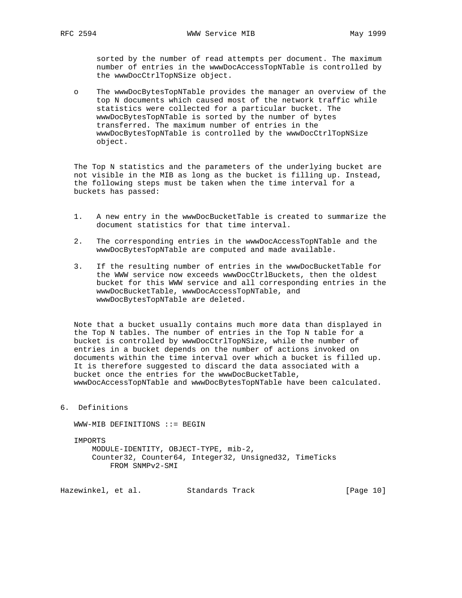sorted by the number of read attempts per document. The maximum number of entries in the wwwDocAccessTopNTable is controlled by the wwwDocCtrlTopNSize object.

 o The wwwDocBytesTopNTable provides the manager an overview of the top N documents which caused most of the network traffic while statistics were collected for a particular bucket. The wwwDocBytesTopNTable is sorted by the number of bytes transferred. The maximum number of entries in the wwwDocBytesTopNTable is controlled by the wwwDocCtrlTopNSize object.

 The Top N statistics and the parameters of the underlying bucket are not visible in the MIB as long as the bucket is filling up. Instead, the following steps must be taken when the time interval for a buckets has passed:

- 1. A new entry in the wwwDocBucketTable is created to summarize the document statistics for that time interval.
- 2. The corresponding entries in the wwwDocAccessTopNTable and the wwwDocBytesTopNTable are computed and made available.
- 3. If the resulting number of entries in the wwwDocBucketTable for the WWW service now exceeds wwwDocCtrlBuckets, then the oldest bucket for this WWW service and all corresponding entries in the wwwDocBucketTable, wwwDocAccessTopNTable, and wwwDocBytesTopNTable are deleted.

 Note that a bucket usually contains much more data than displayed in the Top N tables. The number of entries in the Top N table for a bucket is controlled by wwwDocCtrlTopNSize, while the number of entries in a bucket depends on the number of actions invoked on documents within the time interval over which a bucket is filled up. It is therefore suggested to discard the data associated with a bucket once the entries for the wwwDocBucketTable, wwwDocAccessTopNTable and wwwDocBytesTopNTable have been calculated.

6. Definitions

WWW-MIB DEFINITIONS ::= BEGIN

IMPORTS

 MODULE-IDENTITY, OBJECT-TYPE, mib-2, Counter32, Counter64, Integer32, Unsigned32, TimeTicks FROM SNMPv2-SMI

Hazewinkel, et al. Standards Track [Page 10]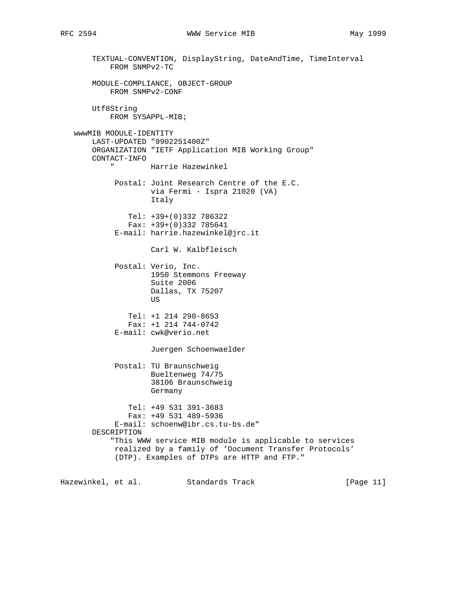# RFC 2594 **WWW Service MIB** May 1999

 TEXTUAL-CONVENTION, DisplayString, DateAndTime, TimeInterval FROM SNMPv2-TC MODULE-COMPLIANCE, OBJECT-GROUP FROM SNMPv2-CONF Utf8String FROM SYSAPPL-MIB; wwwMIB MODULE-IDENTITY LAST-UPDATED "9902251400Z" ORGANIZATION "IETF Application MIB Working Group" CONTACT-INFO Harrie Hazewinkel Postal: Joint Research Centre of the E.C. via Fermi - Ispra 21020 (VA) Italy Tel: +39+(0)332 786322 Fax: +39+(0)332 785641 E-mail: harrie.hazewinkel@jrc.it Carl W. Kalbfleisch Postal: Verio, Inc. 1950 Stemmons Freeway Suite 2006 Dallas, TX 75207 **US** *US US*  Tel: +1 214 290-8653 Fax: +1 214 744-0742 E-mail: cwk@verio.net Juergen Schoenwaelder Postal: TU Braunschweig Bueltenweg 74/75 38106 Braunschweig Germany Tel: +49 531 391-3683 Fax: +49 531 489-5936 E-mail: schoenw@ibr.cs.tu-bs.de" DESCRIPTION "This WWW service MIB module is applicable to services realized by a family of 'Document Transfer Protocols' (DTP). Examples of DTPs are HTTP and FTP."

Hazewinkel, et al. Standards Track [Page 11]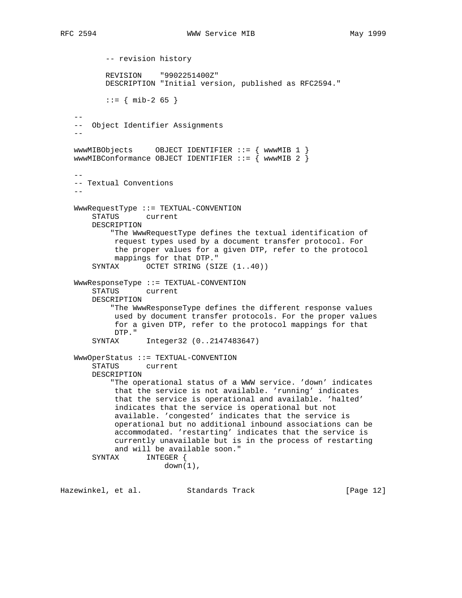-- revision history REVISION "9902251400Z" DESCRIPTION "Initial version, published as RFC2594."  $::=$  { mib-2 65 } -- -- Object Identifier Assignments - wwwMIBObjects OBJECT IDENTIFIER ::= { wwwMIB 1 } wwwMIBConformance OBJECT IDENTIFIER  $::=$  { wwwMIB 2 }  $-$  -- Textual Conventions -- WwwRequestType ::= TEXTUAL-CONVENTION STATUS current DESCRIPTION "The WwwRequestType defines the textual identification of request types used by a document transfer protocol. For the proper values for a given DTP, refer to the protocol mappings for that DTP." SYNTAX OCTET STRING (SIZE  $(1..40)$ ) WwwResponseType ::= TEXTUAL-CONVENTION STATUS current DESCRIPTION "The WwwResponseType defines the different response values used by document transfer protocols. For the proper values for a given DTP, refer to the protocol mappings for that DTP." SYNTAX Integer32 (0..2147483647) WwwOperStatus ::= TEXTUAL-CONVENTION STATUS current DESCRIPTION "The operational status of a WWW service. 'down' indicates that the service is not available. 'running' indicates that the service is operational and available. 'halted' indicates that the service is operational but not available. 'congested' indicates that the service is operational but no additional inbound associations can be accommodated. 'restarting' indicates that the service is currently unavailable but is in the process of restarting and will be available soon." SYNTAX INTEGER {  $down(1)$ ,

Hazewinkel, et al. Standards Track [Page 12]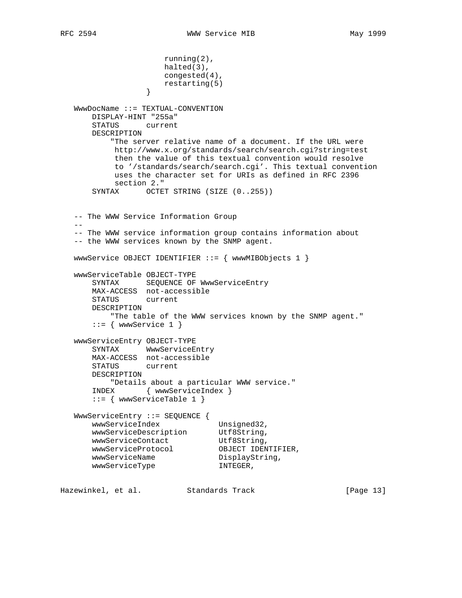```
 running(2),
                     halted(3),
                     congested(4),
                 restarting(5)<br>}
 }
   WwwDocName ::= TEXTUAL-CONVENTION
       DISPLAY-HINT "255a"
       STATUS current
       DESCRIPTION
           "The server relative name of a document. If the URL were
           http://www.x.org/standards/search/search.cgi?string=test
           then the value of this textual convention would resolve
           to '/standards/search/search.cgi'. This textual convention
           uses the character set for URIs as defined in RFC 2396
           section 2."
      SYNTAX OCTET STRING (SIZE (0..255))
   -- The WWW Service Information Group
  - - -- The WWW service information group contains information about
   -- the WWW services known by the SNMP agent.
   wwwService OBJECT IDENTIFIER ::= { wwwMIBObjects 1 }
   wwwServiceTable OBJECT-TYPE
       SYNTAX SEQUENCE OF WwwServiceEntry
       MAX-ACCESS not-accessible
       STATUS current
       DESCRIPTION
          "The table of the WWW services known by the SNMP agent."
      ::= { www. Service 1 }
   wwwServiceEntry OBJECT-TYPE
       SYNTAX WwwServiceEntry
       MAX-ACCESS not-accessible
       STATUS current
       DESCRIPTION
         "Details about a particular WWW service."
       INDEX { wwwServiceIndex }
       ::= { wwwServiceTable 1 }
   WwwServiceEntry ::= SEQUENCE {
wwwServiceIndex Unsigned32,
wwwServiceDescription Utf8String,
wwwServiceContact Utf8String,
wwwServiceProtocol OBJECT IDENTIFIER,
wwwServiceName DisplayString,
wwwServiceType INTEGER,
```
Hazewinkel, et al. Standards Track [Page 13]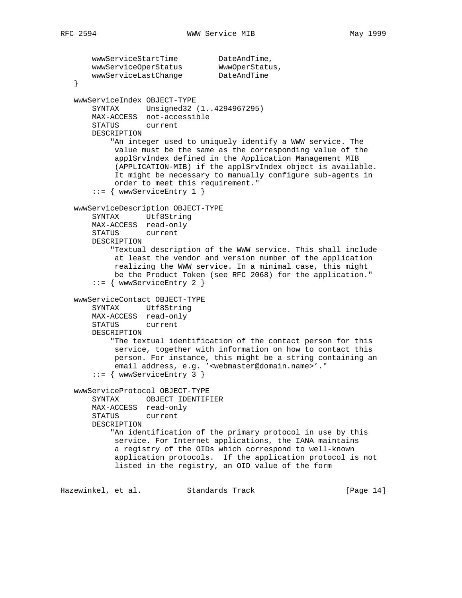```
wwwServiceStartTime DateAndTime,
wwwServiceOperStatus WwwOperStatus,
wwwServiceLastChange DateAndTime
   }
   wwwServiceIndex OBJECT-TYPE
       SYNTAX Unsigned32 (1..4294967295)
       MAX-ACCESS not-accessible
       STATUS current
       DESCRIPTION
           "An integer used to uniquely identify a WWW service. The
            value must be the same as the corresponding value of the
            applSrvIndex defined in the Application Management MIB
            (APPLICATION-MIB) if the applSrvIndex object is available.
            It might be necessary to manually configure sub-agents in
            order to meet this requirement."
       ::= { wwwServiceEntry 1 }
   wwwServiceDescription OBJECT-TYPE
       SYNTAX Utf8String
       MAX-ACCESS read-only
       STATUS current
       DESCRIPTION
           "Textual description of the WWW service. This shall include
            at least the vendor and version number of the application
            realizing the WWW service. In a minimal case, this might
            be the Product Token (see RFC 2068) for the application."
       ::= { wwwServiceEntry 2 }
   wwwServiceContact OBJECT-TYPE
       SYNTAX Utf8String
       MAX-ACCESS read-only
       STATUS current
       DESCRIPTION
           "The textual identification of the contact person for this
           service, together with information on how to contact this
            person. For instance, this might be a string containing an
            email address, e.g. '<webmaster@domain.name>'."
       ::= { wwwServiceEntry 3 }
   wwwServiceProtocol OBJECT-TYPE
       SYNTAX OBJECT IDENTIFIER
       MAX-ACCESS read-only
       STATUS current
       DESCRIPTION
           "An identification of the primary protocol in use by this
            service. For Internet applications, the IANA maintains
            a registry of the OIDs which correspond to well-known
            application protocols. If the application protocol is not
            listed in the registry, an OID value of the form
```
Hazewinkel, et al. Standards Track [Page 14]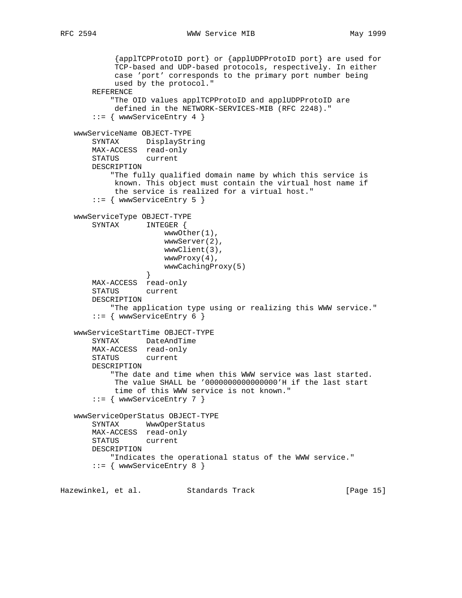```
 {applTCPProtoID port} or {applUDPProtoID port} are used for
            TCP-based and UDP-based protocols, respectively. In either
            case 'port' corresponds to the primary port number being
            used by the protocol."
       REFERENCE
            "The OID values applTCPProtoID and applUDPProtoID are
            defined in the NETWORK-SERVICES-MIB (RFC 2248)."
        ::= { wwwServiceEntry 4 }
   wwwServiceName OBJECT-TYPE
       SYNTAX DisplayString
       MAX-ACCESS read-only
       STATUS current
       DESCRIPTION
            "The fully qualified domain name by which this service is
            known. This object must contain the virtual host name if
            the service is realized for a virtual host."
        ::= { wwwServiceEntry 5 }
    wwwServiceType OBJECT-TYPE
       SYNTAX INTEGER {
                       wwwOther(1),
                       wwwServer(2),
                       wwwClient(3),
                       wwwProxy(4),
                  wwwCachingProxy(5)<br>}
 }
       MAX-ACCESS read-only
       STATUS current
       DESCRIPTION
           "The application type using or realizing this WWW service."
        ::= { wwwServiceEntry 6 }
    wwwServiceStartTime OBJECT-TYPE
       SYNTAX DateAndTime
       MAX-ACCESS read-only
       STATUS current
       DESCRIPTION
           "The date and time when this WWW service was last started.
            The value SHALL be '0000000000000000'H if the last start
            time of this WWW service is not known."
        ::= { wwwServiceEntry 7 }
    wwwServiceOperStatus OBJECT-TYPE
       SYNTAX WwwOperStatus
       MAX-ACCESS read-only
       STATUS current
       DESCRIPTION
           "Indicates the operational status of the WWW service."
        ::= { wwwServiceEntry 8 }
Hazewinkel, et al. Standards Track [Page 15]
```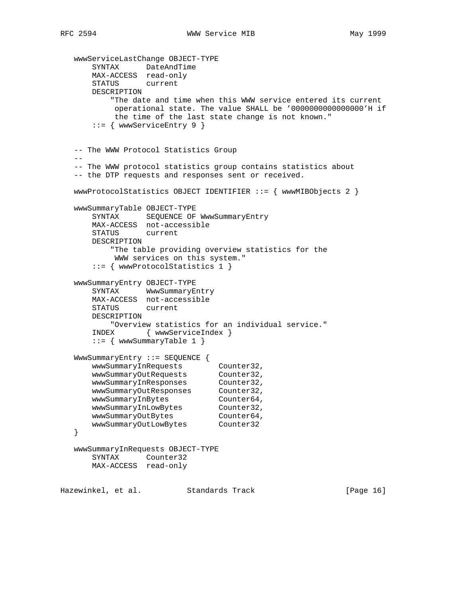```
 wwwServiceLastChange OBJECT-TYPE
 SYNTAX DateAndTime
 MAX-ACCESS read-only
       STATUS current
       DESCRIPTION
           "The date and time when this WWW service entered its current
           operational state. The value SHALL be '0000000000000000'H if
           the time of the last state change is not known."
       ::= { wwwServiceEntry 9 }
   -- The WWW Protocol Statistics Group
  - -- The WWW protocol statistics group contains statistics about
   -- the DTP requests and responses sent or received.
   wwwProtocolStatistics OBJECT IDENTIFIER ::= { wwwMIBObjects 2 }
   wwwSummaryTable OBJECT-TYPE
       SYNTAX SEQUENCE OF WwwSummaryEntry
       MAX-ACCESS not-accessible
       STATUS current
       DESCRIPTION
           "The table providing overview statistics for the
           WWW services on this system."
       ::= { wwwProtocolStatistics 1 }
   wwwSummaryEntry OBJECT-TYPE
       SYNTAX WwwSummaryEntry
       MAX-ACCESS not-accessible
       STATUS current
       DESCRIPTION
           "Overview statistics for an individual service."
       INDEX { wwwServiceIndex }
       ::= { wwwSummaryTable 1 }
   WwwSummaryEntry ::= SEQUENCE {
wwwSummaryInRequests Counter32,
wwwSummaryOutRequests Counter32,
wwwSummaryInResponses Counter32,
wwwSummaryOutResponses Counter32,
wwwSummaryInBytes Counter64,
wwwSummaryInLowBytes Counter32,
wwwSummaryOutBytes Counter64,
 wwwSummaryOutLowBytes Counter32
   }
   wwwSummaryInRequests OBJECT-TYPE
       SYNTAX Counter32
       MAX-ACCESS read-only
Hazewinkel, et al. Standards Track [Page 16]
```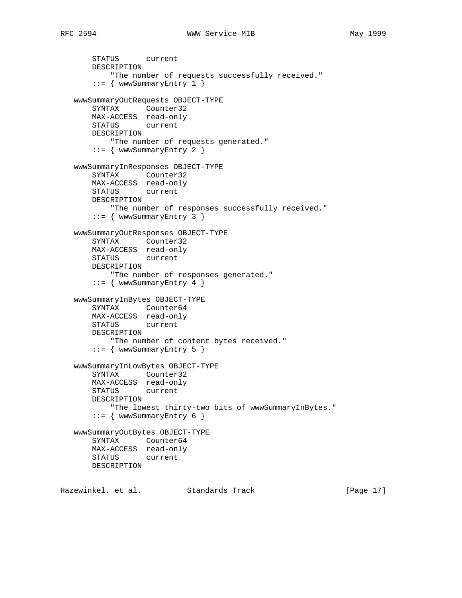```
 STATUS current
       DESCRIPTION
           "The number of requests successfully received."
        ::= { wwwSummaryEntry 1 }
    wwwSummaryOutRequests OBJECT-TYPE
       SYNTAX Counter32
       MAX-ACCESS read-only
       STATUS current
       DESCRIPTION
           "The number of requests generated."
        ::= { wwwSummaryEntry 2 }
    wwwSummaryInResponses OBJECT-TYPE
       SYNTAX Counter32
       MAX-ACCESS read-only
       STATUS current
       DESCRIPTION
           "The number of responses successfully received."
      ::= { www.SummaryEntry 3 }
    wwwSummaryOutResponses OBJECT-TYPE
       SYNTAX Counter32
       MAX-ACCESS read-only
       STATUS current
       DESCRIPTION
           "The number of responses generated."
       ::= { www.SummaryEntry 4 }
    wwwSummaryInBytes OBJECT-TYPE
       SYNTAX Counter64
       MAX-ACCESS read-only
       STATUS current
       DESCRIPTION
           "The number of content bytes received."
       ::= { wwwSummaryEntry 5 }
    wwwSummaryInLowBytes OBJECT-TYPE
       SYNTAX Counter32
       MAX-ACCESS read-only
       STATUS current
       DESCRIPTION
           "The lowest thirty-two bits of wwwSummaryInBytes."
       ::= { www.SummaryEntry 6 }
    wwwSummaryOutBytes OBJECT-TYPE
       SYNTAX Counter64
       MAX-ACCESS read-only
       STATUS current
       DESCRIPTION
Hazewinkel, et al. Standards Track [Page 17]
```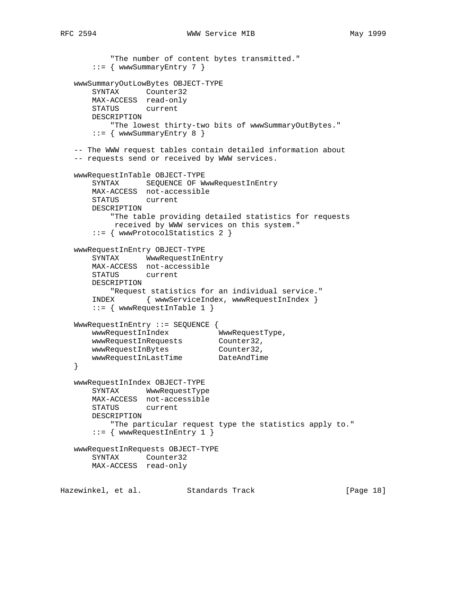```
 "The number of content bytes transmitted."
      ::= { wwwSummaryEntry 7 }
   wwwSummaryOutLowBytes OBJECT-TYPE
       SYNTAX Counter32
       MAX-ACCESS read-only
       STATUS current
       DESCRIPTION
           "The lowest thirty-two bits of wwwSummaryOutBytes."
       ::= { wwwSummaryEntry 8 }
   -- The WWW request tables contain detailed information about
   -- requests send or received by WWW services.
   wwwRequestInTable OBJECT-TYPE
       SYNTAX SEQUENCE OF WwwRequestInEntry
       MAX-ACCESS not-accessible
       STATUS current
       DESCRIPTION
           "The table providing detailed statistics for requests
           received by WWW services on this system."
       ::= { wwwProtocolStatistics 2 }
   wwwRequestInEntry OBJECT-TYPE
       SYNTAX WwwRequestInEntry
       MAX-ACCESS not-accessible
       STATUS current
       DESCRIPTION
           "Request statistics for an individual service."
       INDEX { wwwServiceIndex, wwwRequestInIndex }
       ::= { wwwRequestInTable 1 }
   WwwRequestInEntry ::= SEQUENCE {
wwwRequestInIndex WwwRequestType,
wwwRequestInRequests Counter32,
wwwRequestInBytes Counter32,
 wwwRequestInLastTime DateAndTime
   }
   wwwRequestInIndex OBJECT-TYPE
       SYNTAX WwwRequestType
       MAX-ACCESS not-accessible
       STATUS current
       DESCRIPTION
           "The particular request type the statistics apply to."
       ::= { wwwRequestInEntry 1 }
   wwwRequestInRequests OBJECT-TYPE
       SYNTAX Counter32
       MAX-ACCESS read-only
Hazewinkel, et al. Standards Track [Page 18]
```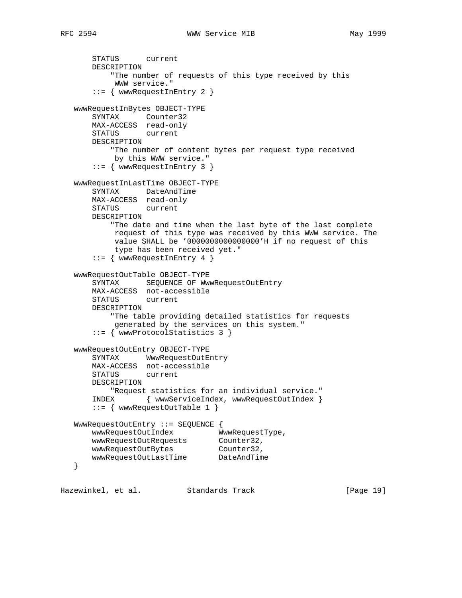```
 STATUS current
       DESCRIPTION
           "The number of requests of this type received by this
            WWW service."
       ::= { wwwRequestInEntry 2 }
   wwwRequestInBytes OBJECT-TYPE
       SYNTAX Counter32
       MAX-ACCESS read-only
       STATUS current
       DESCRIPTION
           "The number of content bytes per request type received
           by this WWW service."
       ::= { wwwRequestInEntry 3 }
   wwwRequestInLastTime OBJECT-TYPE
       SYNTAX DateAndTime
       MAX-ACCESS read-only
       STATUS current
       DESCRIPTION
           "The date and time when the last byte of the last complete
            request of this type was received by this WWW service. The
            value SHALL be '0000000000000000'H if no request of this
            type has been received yet."
       ::= { wwwRequestInEntry 4 }
   wwwRequestOutTable OBJECT-TYPE
       SYNTAX SEQUENCE OF WwwRequestOutEntry
       MAX-ACCESS not-accessible
       STATUS current
       DESCRIPTION
           "The table providing detailed statistics for requests
           generated by the services on this system."
       ::= { wwwProtocolStatistics 3 }
   wwwRequestOutEntry OBJECT-TYPE
       SYNTAX WwwRequestOutEntry
       MAX-ACCESS not-accessible
       STATUS current
       DESCRIPTION
          "Request statistics for an individual service."
       INDEX { wwwServiceIndex, wwwRequestOutIndex }
       ::= { wwwRequestOutTable 1 }
   WwwRequestOutEntry ::= SEQUENCE {
       wwwRequestOutIndex WwwRequestType,
wwwRequestOutRequests Counter32,
wwwRequestOutBytes Counter32,
 wwwRequestOutLastTime DateAndTime
   }
Hazewinkel, et al. Standards Track [Page 19]
```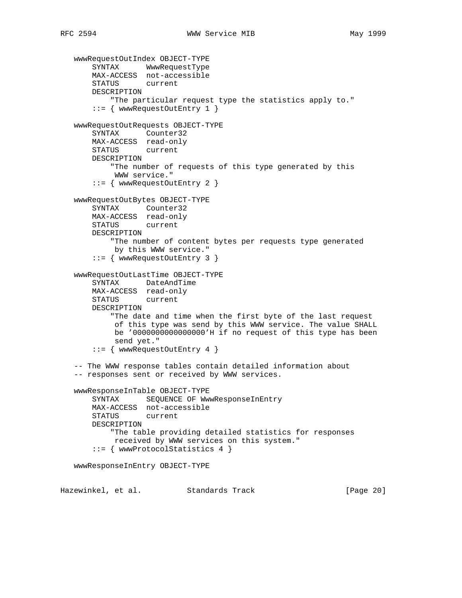```
 wwwRequestOutIndex OBJECT-TYPE
       SYNTAX WwwRequestType
       MAX-ACCESS not-accessible
       STATUS current
       DESCRIPTION
           "The particular request type the statistics apply to."
        ::= { wwwRequestOutEntry 1 }
    wwwRequestOutRequests OBJECT-TYPE
       SYNTAX Counter32
       MAX-ACCESS read-only
       STATUS current
       DESCRIPTION
           "The number of requests of this type generated by this
            WWW service."
        ::= { wwwRequestOutEntry 2 }
   wwwRequestOutBytes OBJECT-TYPE
       SYNTAX Counter32
       MAX-ACCESS read-only
       STATUS current
       DESCRIPTION
            "The number of content bytes per requests type generated
            by this WWW service."
        ::= { wwwRequestOutEntry 3 }
    wwwRequestOutLastTime OBJECT-TYPE
        SYNTAX DateAndTime
       MAX-ACCESS read-only
       STATUS current
       DESCRIPTION
            "The date and time when the first byte of the last request
            of this type was send by this WWW service. The value SHALL
            be '0000000000000000'H if no request of this type has been
            send yet."
        ::= { wwwRequestOutEntry 4 }
    -- The WWW response tables contain detailed information about
    -- responses sent or received by WWW services.
    wwwResponseInTable OBJECT-TYPE
      SYNTAX SEQUENCE OF WwwResponseInEntry
       MAX-ACCESS not-accessible
       STATUS current
       DESCRIPTION
            "The table providing detailed statistics for responses
            received by WWW services on this system."
        ::= { wwwProtocolStatistics 4 }
    wwwResponseInEntry OBJECT-TYPE
Hazewinkel, et al. Standards Track [Page 20]
```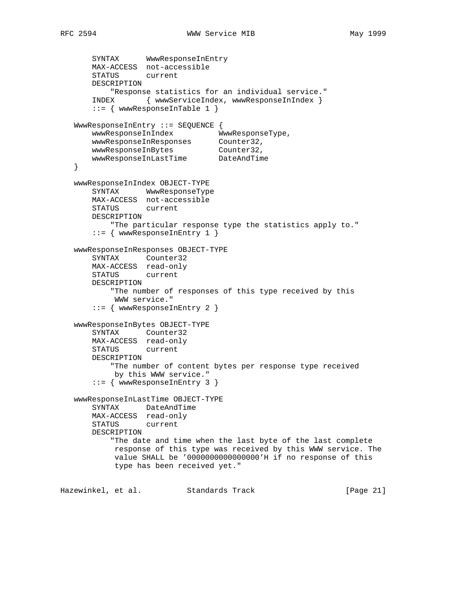```
 SYNTAX WwwResponseInEntry
       MAX-ACCESS not-accessible
       STATUS current
       DESCRIPTION
           "Response statistics for an individual service."
       INDEX { wwwServiceIndex, wwwResponseInIndex }
       ::= { wwwResponseInTable 1 }
   WwwResponseInEntry ::= SEQUENCE {
wwwResponseInIndex WwwResponseType,
 wwwResponseInResponses Counter32,
wwwResponseInBytes Counter32,
 wwwResponseInLastTime DateAndTime
   }
   wwwResponseInIndex OBJECT-TYPE
       SYNTAX WwwResponseType
       MAX-ACCESS not-accessible
       STATUS current
       DESCRIPTION
           "The particular response type the statistics apply to."
       ::= { wwwResponseInEntry 1 }
   wwwResponseInResponses OBJECT-TYPE
       SYNTAX Counter32
       MAX-ACCESS read-only
       STATUS current
       DESCRIPTION
           "The number of responses of this type received by this
           WWW service."
       ::= { wwwResponseInEntry 2 }
   wwwResponseInBytes OBJECT-TYPE
       SYNTAX Counter32
       MAX-ACCESS read-only
       STATUS current
       DESCRIPTION
           "The number of content bytes per response type received
            by this WWW service."
       ::= { wwwResponseInEntry 3 }
   wwwResponseInLastTime OBJECT-TYPE
       SYNTAX DateAndTime
       MAX-ACCESS read-only
       STATUS current
       DESCRIPTION
           "The date and time when the last byte of the last complete
           response of this type was received by this WWW service. The
            value SHALL be '0000000000000000'H if no response of this
            type has been received yet."
Hazewinkel, et al. Standards Track [Page 21]
```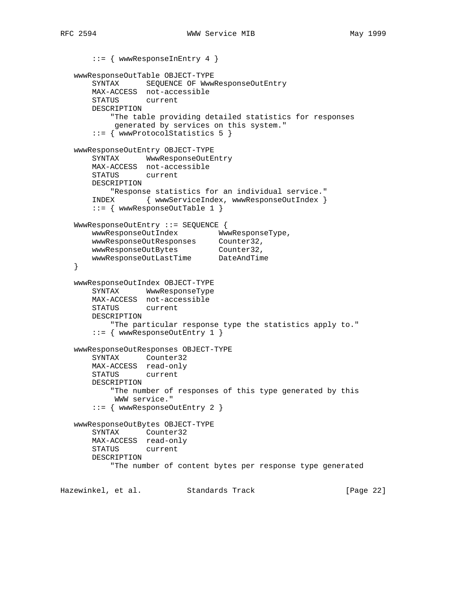```
 ::= { wwwResponseInEntry 4 }
   wwwResponseOutTable OBJECT-TYPE
       SYNTAX SEQUENCE OF WwwResponseOutEntry
       MAX-ACCESS not-accessible
       STATUS current
       DESCRIPTION
           "The table providing detailed statistics for responses
           generated by services on this system."
       ::= { wwwProtocolStatistics 5 }
   wwwResponseOutEntry OBJECT-TYPE
       SYNTAX WwwResponseOutEntry
       MAX-ACCESS not-accessible
       STATUS current
       DESCRIPTION
          "Response statistics for an individual service."
       INDEX { wwwServiceIndex, wwwResponseOutIndex }
       ::= { wwwResponseOutTable 1 }
   WwwResponseOutEntry ::= SEQUENCE {
       wwwResponseOutIndex WwwResponseType,
 wwwResponseOutResponses Counter32,
wwwResponseOutBytes Counter32,
 wwwResponseOutLastTime DateAndTime
   }
   wwwResponseOutIndex OBJECT-TYPE
       SYNTAX WwwResponseType
       MAX-ACCESS not-accessible
       STATUS current
       DESCRIPTION
           "The particular response type the statistics apply to."
       ::= { wwwResponseOutEntry 1 }
   wwwResponseOutResponses OBJECT-TYPE
       SYNTAX Counter32
       MAX-ACCESS read-only
       STATUS current
       DESCRIPTION
           "The number of responses of this type generated by this
            WWW service."
       ::= { wwwResponseOutEntry 2 }
   wwwResponseOutBytes OBJECT-TYPE
       SYNTAX Counter32
       MAX-ACCESS read-only
       STATUS current
       DESCRIPTION
           "The number of content bytes per response type generated
Hazewinkel, et al. Standards Track [Page 22]
```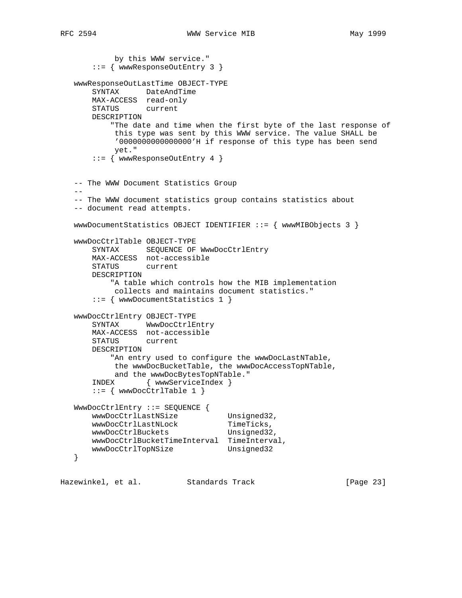by this WWW service." ::= { wwwResponseOutEntry 3 } wwwResponseOutLastTime OBJECT-TYPE SYNTAX DateAndTime MAX-ACCESS read-only STATUS current DESCRIPTION "The date and time when the first byte of the last response of this type was sent by this WWW service. The value SHALL be '0000000000000000'H if response of this type has been send yet." ::= { wwwResponseOutEntry 4 } -- The WWW Document Statistics Group -- -- The WWW document statistics group contains statistics about -- document read attempts. wwwDocumentStatistics OBJECT IDENTIFIER ::= { wwwMIBObjects 3 } wwwDocCtrlTable OBJECT-TYPE SYNTAX SEQUENCE OF WwwDocCtrlEntry MAX-ACCESS not-accessible STATUS current DESCRIPTION "A table which controls how the MIB implementation collects and maintains document statistics." ::= { wwwDocumentStatistics 1 } wwwDocCtrlEntry OBJECT-TYPE SYNTAX WwwDocCtrlEntry MAX-ACCESS not-accessible STATUS current DESCRIPTION "An entry used to configure the wwwDocLastNTable, the wwwDocBucketTable, the wwwDocAccessTopNTable, and the wwwDocBytesTopNTable." INDEX { wwwServiceIndex }  $::=$  { wwwDocCtrlTable 1 } WwwDocCtrlEntry ::= SEQUENCE { wwWDocCtrlLastNSize Unsigned32, wwwDocCtrlLastNLock TimeTicks, wwwDocCtrlBuckets Unsigned32, wwwDocCtrlBucketTimeInterval TimeInterval, wwwDocCtrlTopNSize Unsigned32 }

Hazewinkel, et al. Standards Track [Page 23]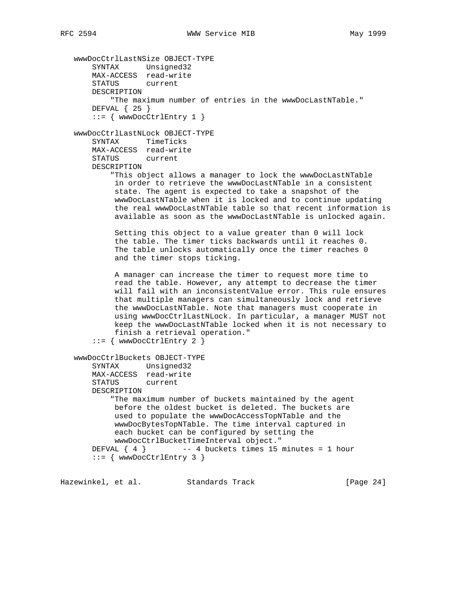```
 wwwDocCtrlLastNSize OBJECT-TYPE
 SYNTAX Unsigned32
 MAX-ACCESS read-write
       STATUS current
       DESCRIPTION
           "The maximum number of entries in the wwwDocLastNTable."
       DEFVAL { 25 }
      ::= { wwwDocCtrlEntry 1 }
   wwwDocCtrlLastNLock OBJECT-TYPE
       SYNTAX TimeTicks
       MAX-ACCESS read-write
       STATUS current
       DESCRIPTION
           "This object allows a manager to lock the wwwDocLastNTable
            in order to retrieve the wwwDocLastNTable in a consistent
            state. The agent is expected to take a snapshot of the
            wwwDocLastNTable when it is locked and to continue updating
            the real wwwDocLastNTable table so that recent information is
            available as soon as the wwwDocLastNTable is unlocked again.
            Setting this object to a value greater than 0 will lock
            the table. The timer ticks backwards until it reaches 0.
            The table unlocks automatically once the timer reaches 0
            and the timer stops ticking.
            A manager can increase the timer to request more time to
            read the table. However, any attempt to decrease the timer
            will fail with an inconsistentValue error. This rule ensures
            that multiple managers can simultaneously lock and retrieve
            the wwwDocLastNTable. Note that managers must cooperate in
            using wwwDocCtrlLastNLock. In particular, a manager MUST not
            keep the wwwDocLastNTable locked when it is not necessary to
            finish a retrieval operation."
      ::= { wwwDocCtrlEntry 2 }
   wwwDocCtrlBuckets OBJECT-TYPE
       SYNTAX Unsigned32
       MAX-ACCESS read-write
       STATUS current
       DESCRIPTION
           "The maximum number of buckets maintained by the agent
            before the oldest bucket is deleted. The buckets are
            used to populate the wwwDocAccessTopNTable and the
            wwwDocBytesTopNTable. The time interval captured in
            each bucket can be configured by setting the
            wwwDocCtrlBucketTimeInterval object."
      DEFVAL \{ 4 \} -- 4 buckets times 15 minutes = 1 hour
       ::= { wwwDocCtrlEntry 3 }
```
Hazewinkel, et al. Standards Track and all all [Page 24]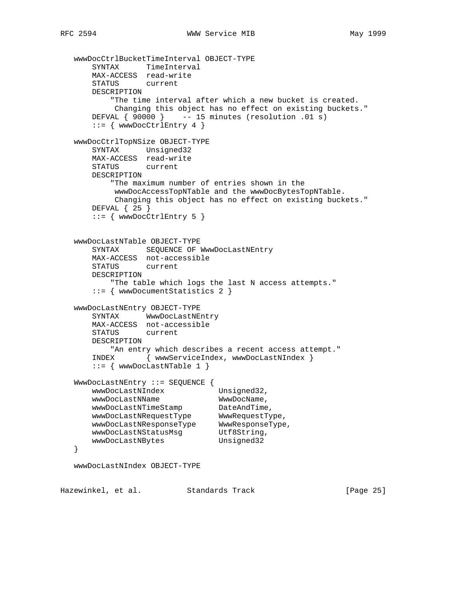```
 wwwDocCtrlBucketTimeInterval OBJECT-TYPE
 SYNTAX TimeInterval
 MAX-ACCESS read-write
       STATUS current
       DESCRIPTION
           "The time interval after which a new bucket is created.
           Changing this object has no effect on existing buckets."
      DEFVAL \{ 90000 \} -- 15 minutes (resolution .01 s)
      ::= { wwwDocCtrlEntry 4 }
   wwwDocCtrlTopNSize OBJECT-TYPE
       SYNTAX Unsigned32
       MAX-ACCESS read-write
       STATUS current
       DESCRIPTION
           "The maximum number of entries shown in the
           wwwDocAccessTopNTable and the wwwDocBytesTopNTable.
           Changing this object has no effect on existing buckets."
       DEFVAL { 25 }
      ::= { wwwDocCtrlEntry 5 }
   wwwDocLastNTable OBJECT-TYPE
      SYNTAX SEQUENCE OF WwwDocLastNEntry
       MAX-ACCESS not-accessible
       STATUS current
       DESCRIPTION
           "The table which logs the last N access attempts."
       ::= { wwwDocumentStatistics 2 }
   wwwDocLastNEntry OBJECT-TYPE
       SYNTAX WwwDocLastNEntry
       MAX-ACCESS not-accessible
       STATUS current
       DESCRIPTION
          "An entry which describes a recent access attempt."
       INDEX { wwwServiceIndex, wwwDocLastNIndex }
      ::= { wwwDocLastNTable 1 }
   WwwDocLastNEntry ::= SEQUENCE {
      wwwDocLastNIndex Unsigned32,
wwwDocLastNName WwwDocName,
wwwDocLastNTimeStamp DateAndTime,
 wwwDocLastNRequestType WwwRequestType,
 wwwDocLastNResponseType WwwResponseType,
wwwDocLastNStatusMsg Utf8String,
wwwDocLastNBytes Unsigned32
   }
   wwwDocLastNIndex OBJECT-TYPE
Hazewinkel, et al. Standards Track [Page 25]
```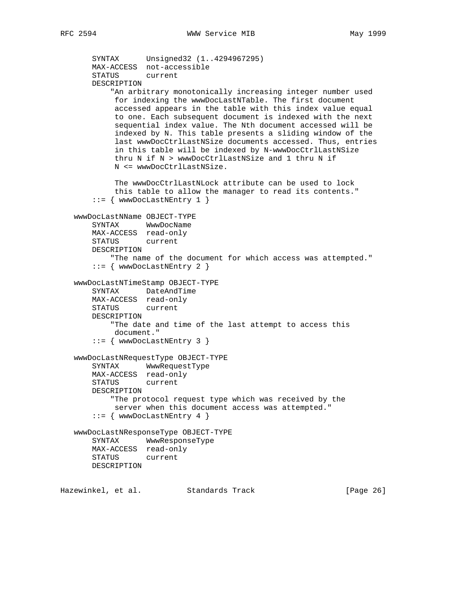```
 SYNTAX Unsigned32 (1..4294967295)
       MAX-ACCESS not-accessible
       STATUS current
       DESCRIPTION
            "An arbitrary monotonically increasing integer number used
            for indexing the wwwDocLastNTable. The first document
            accessed appears in the table with this index value equal
            to one. Each subsequent document is indexed with the next
            sequential index value. The Nth document accessed will be
            indexed by N. This table presents a sliding window of the
            last wwwDocCtrlLastNSize documents accessed. Thus, entries
            in this table will be indexed by N-wwwDocCtrlLastNSize
            thru N if N > wwwDocCtrlLastNSize and 1 thru N if
            N <= wwwDocCtrlLastNSize.
            The wwwDocCtrlLastNLock attribute can be used to lock
            this table to allow the manager to read its contents."
        ::= { wwwDocLastNEntry 1 }
    wwwDocLastNName OBJECT-TYPE
       SYNTAX WwwDocName
       MAX-ACCESS read-only
       STATUS current
       DESCRIPTION
            "The name of the document for which access was attempted."
       ::= { wwwDocLastNEntry 2 }
    wwwDocLastNTimeStamp OBJECT-TYPE
       SYNTAX DateAndTime
       MAX-ACCESS read-only
       STATUS current
       DESCRIPTION
            "The date and time of the last attempt to access this
            document."
        ::= { wwwDocLastNEntry 3 }
    wwwDocLastNRequestType OBJECT-TYPE
       SYNTAX WwwRequestType
       MAX-ACCESS read-only
       STATUS current
       DESCRIPTION
           "The protocol request type which was received by the
            server when this document access was attempted."
       ::= { wwwDocLastNEntry 4 }
    wwwDocLastNResponseType OBJECT-TYPE
       SYNTAX WwwResponseType
       MAX-ACCESS read-only
       STATUS current
       DESCRIPTION
Hazewinkel, et al. Standards Track [Page 26]
```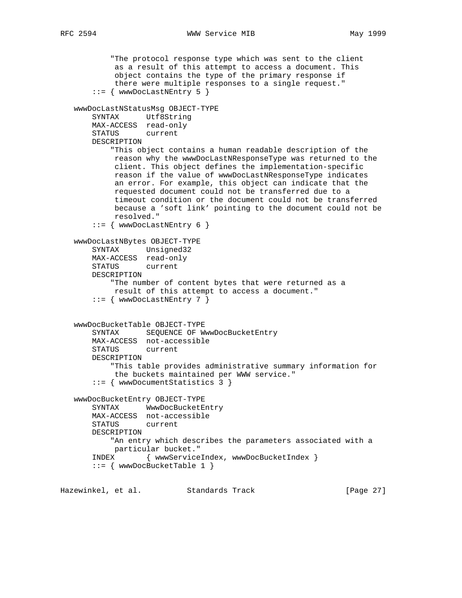```
 "The protocol response type which was sent to the client
         as a result of this attempt to access a document. This
         object contains the type of the primary response if
         there were multiple responses to a single request."
    ::= { wwwDocLastNEntry 5 }
 wwwDocLastNStatusMsg OBJECT-TYPE
    SYNTAX Utf8String
    MAX-ACCESS read-only
    STATUS current
    DESCRIPTION
         "This object contains a human readable description of the
         reason why the wwwDocLastNResponseType was returned to the
         client. This object defines the implementation-specific
         reason if the value of wwwDocLastNResponseType indicates
         an error. For example, this object can indicate that the
         requested document could not be transferred due to a
         timeout condition or the document could not be transferred
         because a 'soft link' pointing to the document could not be
         resolved."
     ::= { wwwDocLastNEntry 6 }
 wwwDocLastNBytes OBJECT-TYPE
    SYNTAX Unsigned32
    MAX-ACCESS read-only
    STATUS current
    DESCRIPTION
         "The number of content bytes that were returned as a
         result of this attempt to access a document."
     ::= { wwwDocLastNEntry 7 }
 wwwDocBucketTable OBJECT-TYPE
   SYNTAX SEQUENCE OF WwwDocBucketEntry
    MAX-ACCESS not-accessible
    STATUS current
    DESCRIPTION
         "This table provides administrative summary information for
         the buckets maintained per WWW service."
     ::= { wwwDocumentStatistics 3 }
 wwwDocBucketEntry OBJECT-TYPE
    SYNTAX WwwDocBucketEntry
    MAX-ACCESS not-accessible
    STATUS current
    DESCRIPTION
         "An entry which describes the parameters associated with a
         particular bucket."
    INDEX { wwwServiceIndex, wwwDocBucketIndex }
     ::= { wwwDocBucketTable 1 }
```
Hazewinkel, et al. Standards Track [Page 27]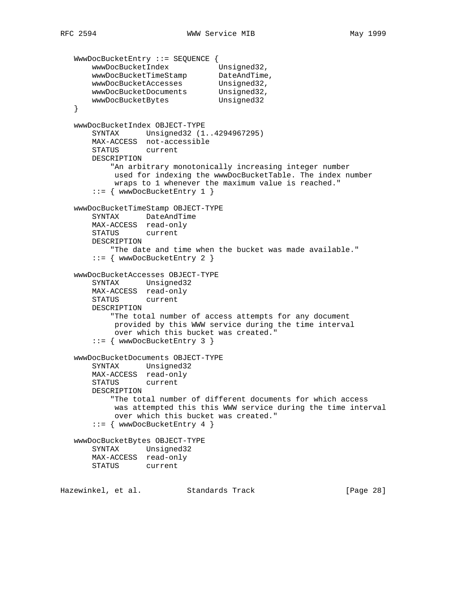```
 WwwDocBucketEntry ::= SEQUENCE {
wwwDocBucketIndex Unsigned32,
wwwDocBucketTimeStamp DateAndTime,
wwwDocBucketAccesses Unsigned32,
 wwwDocBucketDocuments Unsigned32,
wwwDocBucketBytes Unsigned32
   }
   wwwDocBucketIndex OBJECT-TYPE
       SYNTAX Unsigned32 (1..4294967295)
       MAX-ACCESS not-accessible
       STATUS current
       DESCRIPTION
           "An arbitrary monotonically increasing integer number
            used for indexing the wwwDocBucketTable. The index number
            wraps to 1 whenever the maximum value is reached."
       ::= { wwwDocBucketEntry 1 }
   wwwDocBucketTimeStamp OBJECT-TYPE
       SYNTAX DateAndTime
       MAX-ACCESS read-only
       STATUS current
       DESCRIPTION
           "The date and time when the bucket was made available."
       ::= { wwwDocBucketEntry 2 }
   wwwDocBucketAccesses OBJECT-TYPE
       SYNTAX Unsigned32
       MAX-ACCESS read-only
       STATUS current
       DESCRIPTION
           "The total number of access attempts for any document
           provided by this WWW service during the time interval
            over which this bucket was created."
       ::= { wwwDocBucketEntry 3 }
   wwwDocBucketDocuments OBJECT-TYPE
       SYNTAX Unsigned32
       MAX-ACCESS read-only
       STATUS current
       DESCRIPTION
           "The total number of different documents for which access
           was attempted this this WWW service during the time interval
           over which this bucket was created."
       ::= { wwwDocBucketEntry 4 }
   wwwDocBucketBytes OBJECT-TYPE
       SYNTAX Unsigned32
       MAX-ACCESS read-only
       STATUS current
Hazewinkel, et al. Standards Track [Page 28]
```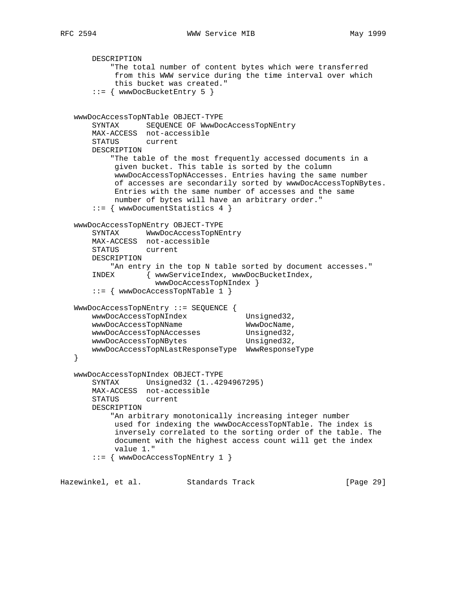```
 DESCRIPTION
     "The total number of content bytes which were transferred
      from this WWW service during the time interval over which
      this bucket was created."
 ::= { wwwDocBucketEntry 5 }
```

```
 wwwDocAccessTopNTable OBJECT-TYPE
       SYNTAX SEQUENCE OF WwwDocAccessTopNEntry
       MAX-ACCESS not-accessible
       STATUS current
       DESCRIPTION
           "The table of the most frequently accessed documents in a
            given bucket. This table is sorted by the column
            wwwDocAccessTopNAccesses. Entries having the same number
            of accesses are secondarily sorted by wwwDocAccessTopNBytes.
            Entries with the same number of accesses and the same
           number of bytes will have an arbitrary order."
       ::= { wwwDocumentStatistics 4 }
   wwwDocAccessTopNEntry OBJECT-TYPE
       SYNTAX WwwDocAccessTopNEntry
       MAX-ACCESS not-accessible
       STATUS current
       DESCRIPTION
          "An entry in the top N table sorted by document accesses."
       INDEX { wwwServiceIndex, wwwDocBucketIndex,
                    wwwDocAccessTopNIndex }
       ::= { wwwDocAccessTopNTable 1 }
   WwwDocAccessTopNEntry ::= SEQUENCE {
      wwwDocAccessTopNIndex Unsigned32,
wwwDocAccessTopNName WwwDocName,
wwwDocAccessTopNAccesses Unsigned32,
wwwDocAccessTopNBytes Unsigned32,
       wwwDocAccessTopNLastResponseType WwwResponseType
   }
   wwwDocAccessTopNIndex OBJECT-TYPE
       SYNTAX Unsigned32 (1..4294967295)
       MAX-ACCESS not-accessible
       STATUS current
       DESCRIPTION
           "An arbitrary monotonically increasing integer number
           used for indexing the wwwDocAccessTopNTable. The index is
            inversely correlated to the sorting order of the table. The
            document with the highest access count will get the index
           value 1."
       ::= { wwwDocAccessTopNEntry 1 }
```
Hazewinkel, et al. Standards Track [Page 29]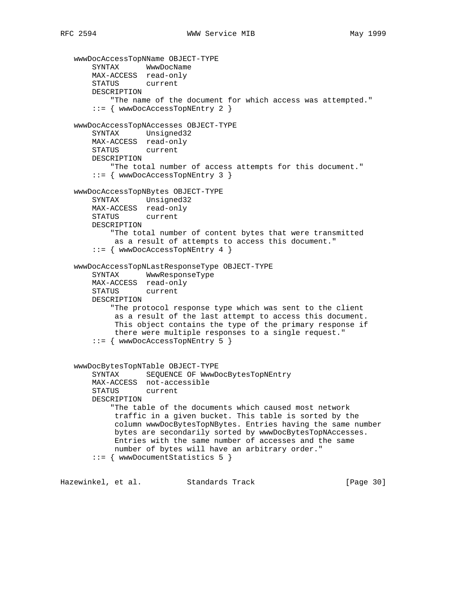```
 wwwDocAccessTopNName OBJECT-TYPE
 SYNTAX WwwDocName
 MAX-ACCESS read-only
       STATUS current
       DESCRIPTION
           "The name of the document for which access was attempted."
       ::= { wwwDocAccessTopNEntry 2 }
   wwwDocAccessTopNAccesses OBJECT-TYPE
       SYNTAX Unsigned32
       MAX-ACCESS read-only
       STATUS current
       DESCRIPTION
          "The total number of access attempts for this document."
       ::= { wwwDocAccessTopNEntry 3 }
   wwwDocAccessTopNBytes OBJECT-TYPE
       SYNTAX Unsigned32
       MAX-ACCESS read-only
       STATUS current
       DESCRIPTION
           "The total number of content bytes that were transmitted
           as a result of attempts to access this document."
       ::= { wwwDocAccessTopNEntry 4 }
   wwwDocAccessTopNLastResponseType OBJECT-TYPE
       SYNTAX WwwResponseType
       MAX-ACCESS read-only
       STATUS current
       DESCRIPTION
           "The protocol response type which was sent to the client
            as a result of the last attempt to access this document.
            This object contains the type of the primary response if
            there were multiple responses to a single request."
       ::= { wwwDocAccessTopNEntry 5 }
   wwwDocBytesTopNTable OBJECT-TYPE
       SYNTAX SEQUENCE OF WwwDocBytesTopNEntry
       MAX-ACCESS not-accessible
      STATUS
       DESCRIPTION
           "The table of the documents which caused most network
            traffic in a given bucket. This table is sorted by the
            column wwwDocBytesTopNBytes. Entries having the same number
            bytes are secondarily sorted by wwwDocBytesTopNAccesses.
            Entries with the same number of accesses and the same
            number of bytes will have an arbitrary order."
       ::= { wwwDocumentStatistics 5 }
```
Hazewinkel, et al. Standards Track [Page 30]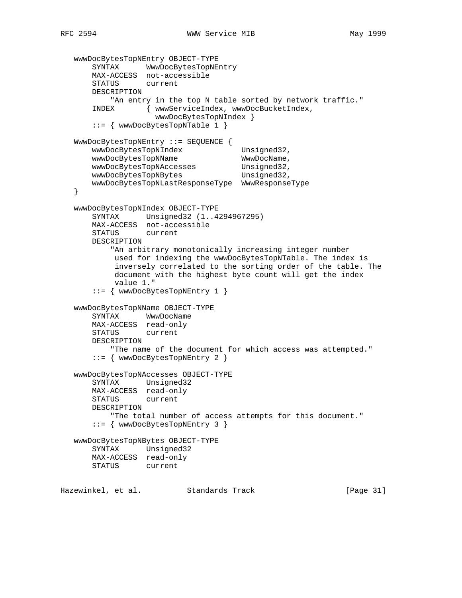```
 wwwDocBytesTopNEntry OBJECT-TYPE
 SYNTAX WwwDocBytesTopNEntry
 MAX-ACCESS not-accessible
       STATUS current
       DESCRIPTION
          "An entry in the top N table sorted by network traffic."
       INDEX { wwwServiceIndex, wwwDocBucketIndex,
                    wwwDocBytesTopNIndex }
       ::= { wwwDocBytesTopNTable 1 }
   WwwDocBytesTopNEntry ::= SEQUENCE {
      wwwDocBytesTopNIndex Unsigned32,
      wwwDocBytesTopNName WwwDocName,
wwwDocBytesTopNAccesses Unsigned32,
wwwDocBytesTopNBytes Example 19 Unsigned 32,
       wwwDocBytesTopNLastResponseType WwwResponseType
   }
   wwwDocBytesTopNIndex OBJECT-TYPE
       SYNTAX Unsigned32 (1..4294967295)
       MAX-ACCESS not-accessible
       STATUS current
       DESCRIPTION
           "An arbitrary monotonically increasing integer number
            used for indexing the wwwDocBytesTopNTable. The index is
            inversely correlated to the sorting order of the table. The
            document with the highest byte count will get the index
            value 1."
       ::= { wwwDocBytesTopNEntry 1 }
   wwwDocBytesTopNName OBJECT-TYPE
       SYNTAX WwwDocName
       MAX-ACCESS read-only
       STATUS current
       DESCRIPTION
           "The name of the document for which access was attempted."
       ::= { wwwDocBytesTopNEntry 2 }
   wwwDocBytesTopNAccesses OBJECT-TYPE
       SYNTAX Unsigned32
       MAX-ACCESS read-only
       STATUS current
       DESCRIPTION
           "The total number of access attempts for this document."
       ::= { wwwDocBytesTopNEntry 3 }
   wwwDocBytesTopNBytes OBJECT-TYPE
       SYNTAX Unsigned32
       MAX-ACCESS read-only
       STATUS current
Hazewinkel, et al. Standards Track [Page 31]
```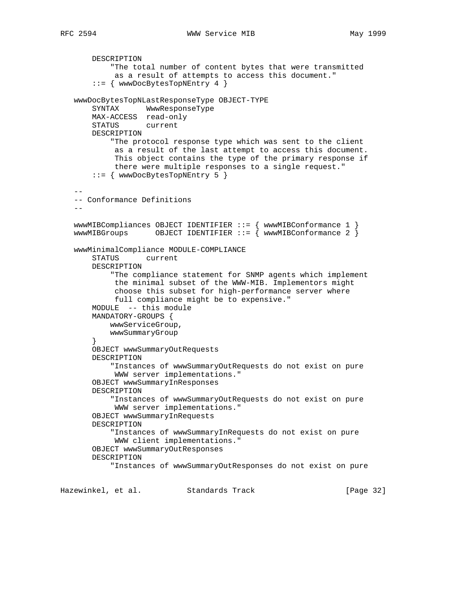```
 DESCRIPTION
            "The total number of content bytes that were transmitted
            as a result of attempts to access this document."
        ::= { wwwDocBytesTopNEntry 4 }
   wwwDocBytesTopNLastResponseType OBJECT-TYPE
       SYNTAX WwwResponseType
       MAX-ACCESS read-only
       STATUS current
       DESCRIPTION
            "The protocol response type which was sent to the client
            as a result of the last attempt to access this document.
             This object contains the type of the primary response if
             there were multiple responses to a single request."
        ::= { wwwDocBytesTopNEntry 5 }
 --
   -- Conformance Definitions
  - wwwMIBCompliances OBJECT IDENTIFIER ::= { wwwMIBConformance 1 }
   wwwMIBGroups OBJECT IDENTIFIER ::= { wwwMIBConformance 2 }
   wwwMinimalCompliance MODULE-COMPLIANCE
       STATUS current
       DESCRIPTION
            "The compliance statement for SNMP agents which implement
             the minimal subset of the WWW-MIB. Implementors might
            choose this subset for high-performance server where
            full compliance might be to expensive."
       MODULE -- this module
       MANDATORY-GROUPS {
           wwwServiceGroup,
           wwwSummaryGroup
        }
       OBJECT wwwSummaryOutRequests
       DESCRIPTION
            "Instances of wwwSummaryOutRequests do not exist on pure
            WWW server implementations."
       OBJECT wwwSummaryInResponses
       DESCRIPTION
            "Instances of wwwSummaryOutRequests do not exist on pure
            WWW server implementations."
       OBJECT wwwSummaryInRequests
       DESCRIPTION
            "Instances of wwwSummaryInRequests do not exist on pure
            WWW client implementations."
       OBJECT wwwSummaryOutResponses
       DESCRIPTION
            "Instances of wwwSummaryOutResponses do not exist on pure
```
Hazewinkel, et al. Standards Track [Page 32]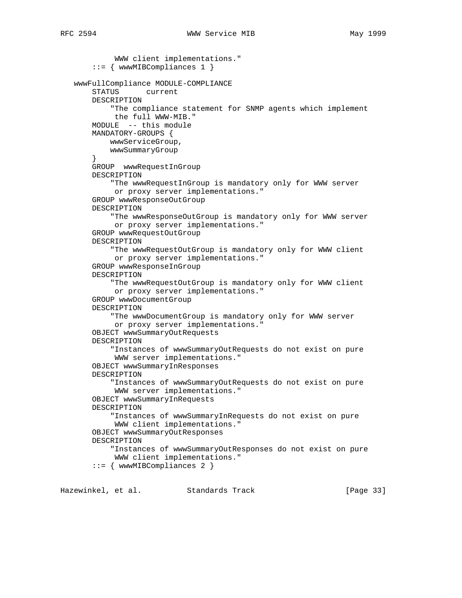```
 WWW client implementations."
     ::= { wwwMIBCompliances 1 }
 wwwFullCompliance MODULE-COMPLIANCE
     STATUS current
     DESCRIPTION
         "The compliance statement for SNMP agents which implement
         the full WWW-MIB."
     MODULE -- this module
     MANDATORY-GROUPS {
         wwwServiceGroup,
         wwwSummaryGroup
     }
     GROUP wwwRequestInGroup
     DESCRIPTION
         "The wwwRequestInGroup is mandatory only for WWW server
         or proxy server implementations."
     GROUP wwwResponseOutGroup
     DESCRIPTION
         "The wwwResponseOutGroup is mandatory only for WWW server
          or proxy server implementations."
     GROUP wwwRequestOutGroup
     DESCRIPTION
         "The wwwRequestOutGroup is mandatory only for WWW client
          or proxy server implementations."
     GROUP wwwResponseInGroup
     DESCRIPTION
         "The wwwRequestOutGroup is mandatory only for WWW client
          or proxy server implementations."
     GROUP wwwDocumentGroup
     DESCRIPTION
         "The wwwDocumentGroup is mandatory only for WWW server
          or proxy server implementations."
     OBJECT wwwSummaryOutRequests
     DESCRIPTION
         "Instances of wwwSummaryOutRequests do not exist on pure
          WWW server implementations."
     OBJECT wwwSummaryInResponses
     DESCRIPTION
         "Instances of wwwSummaryOutRequests do not exist on pure
          WWW server implementations."
     OBJECT wwwSummaryInRequests
     DESCRIPTION
         "Instances of wwwSummaryInRequests do not exist on pure
          WWW client implementations."
     OBJECT wwwSummaryOutResponses
     DESCRIPTION
         "Instances of wwwSummaryOutResponses do not exist on pure
          WWW client implementations."
     ::= { wwwMIBCompliances 2 }
```
Hazewinkel, et al. Standards Track [Page 33]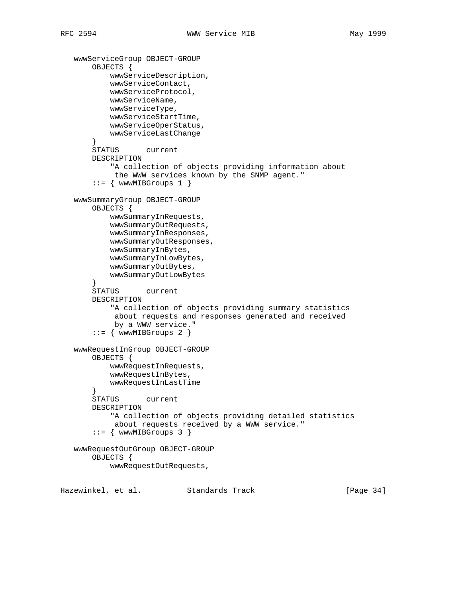```
 wwwServiceGroup OBJECT-GROUP
        OBJECTS {
            wwwServiceDescription,
            wwwServiceContact,
            wwwServiceProtocol,
            wwwServiceName,
            wwwServiceType,
            wwwServiceStartTime,
            wwwServiceOperStatus,
            wwwServiceLastChange
        }
        STATUS current
        DESCRIPTION
            "A collection of objects providing information about
            the WWW services known by the SNMP agent."
       ::= { wwwMIBGroups 1 }
    wwwSummaryGroup OBJECT-GROUP
        OBJECTS {
            wwwSummaryInRequests,
            wwwSummaryOutRequests,
            wwwSummaryInResponses,
            wwwSummaryOutResponses,
            wwwSummaryInBytes,
            wwwSummaryInLowBytes,
            wwwSummaryOutBytes,
            wwwSummaryOutLowBytes
       }<br>STATUS
              current
        DESCRIPTION
            "A collection of objects providing summary statistics
            about requests and responses generated and received
            by a WWW service."
       ::= { wwwMIBGroups 2 }
    wwwRequestInGroup OBJECT-GROUP
        OBJECTS {
            wwwRequestInRequests,
            wwwRequestInBytes,
            wwwRequestInLastTime
 }
        STATUS current
        DESCRIPTION
            "A collection of objects providing detailed statistics
            about requests received by a WWW service."
       ::= { wwwMIBGroups 3 }
    wwwRequestOutGroup OBJECT-GROUP
        OBJECTS {
            wwwRequestOutRequests,
Hazewinkel, et al. Standards Track [Page 34]
```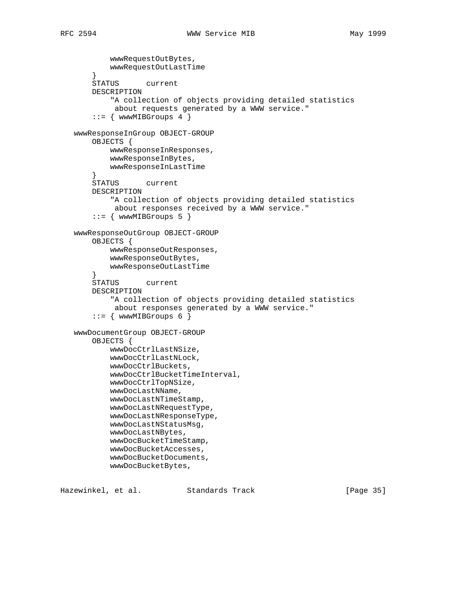wwwRequestOutBytes, wwwRequestOutLastTime } STATUS current DESCRIPTION "A collection of objects providing detailed statistics about requests generated by a WWW service."  $::=$  { wwwMIBGroups 4 } wwwResponseInGroup OBJECT-GROUP OBJECTS { wwwResponseInResponses, wwwResponseInBytes, wwwResponseInLastTime } STATUS current DESCRIPTION "A collection of objects providing detailed statistics about responses received by a WWW service."  $::=$  { wwwMIBGroups 5 } wwwResponseOutGroup OBJECT-GROUP OBJECTS { wwwResponseOutResponses, wwwResponseOutBytes, wwwResponseOutLastTime } STATUS current DESCRIPTION "A collection of objects providing detailed statistics about responses generated by a WWW service."  $::=$  { wwwMIBGroups 6 } wwwDocumentGroup OBJECT-GROUP OBJECTS { wwwDocCtrlLastNSize, wwwDocCtrlLastNLock, wwwDocCtrlBuckets, wwwDocCtrlBucketTimeInterval, wwwDocCtrlTopNSize, wwwDocLastNName, wwwDocLastNTimeStamp, wwwDocLastNRequestType, wwwDocLastNResponseType, wwwDocLastNStatusMsg, wwwDocLastNBytes, wwwDocBucketTimeStamp, wwwDocBucketAccesses, wwwDocBucketDocuments, wwwDocBucketBytes,

Hazewinkel, et al. Standards Track [Page 35]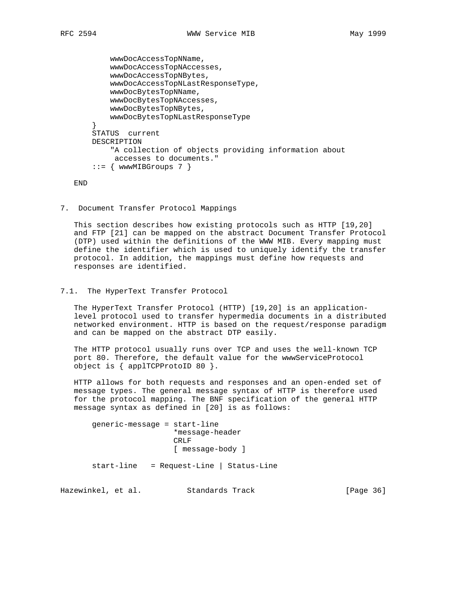```
 wwwDocAccessTopNName,
     wwwDocAccessTopNAccesses,
     wwwDocAccessTopNBytes,
     wwwDocAccessTopNLastResponseType,
     wwwDocBytesTopNName,
     wwwDocBytesTopNAccesses,
     wwwDocBytesTopNBytes,
     wwwDocBytesTopNLastResponseType
 }
 STATUS current
 DESCRIPTION
     "A collection of objects providing information about
     accesses to documents."
::= { wwwMIBGroups 7 }
```
END

7. Document Transfer Protocol Mappings

 This section describes how existing protocols such as HTTP [19,20] and FTP [21] can be mapped on the abstract Document Transfer Protocol (DTP) used within the definitions of the WWW MIB. Every mapping must define the identifier which is used to uniquely identify the transfer protocol. In addition, the mappings must define how requests and responses are identified.

7.1. The HyperText Transfer Protocol

 The HyperText Transfer Protocol (HTTP) [19,20] is an application level protocol used to transfer hypermedia documents in a distributed networked environment. HTTP is based on the request/response paradigm and can be mapped on the abstract DTP easily.

 The HTTP protocol usually runs over TCP and uses the well-known TCP port 80. Therefore, the default value for the wwwServiceProtocol object is { applTCPProtoID 80 }.

 HTTP allows for both requests and responses and an open-ended set of message types. The general message syntax of HTTP is therefore used for the protocol mapping. The BNF specification of the general HTTP message syntax as defined in [20] is as follows:

 generic-message = start-line \*message-header CRLF [ message-body ]

start-line = Request-Line | Status-Line

Hazewinkel, et al. Standards Track [Page 36]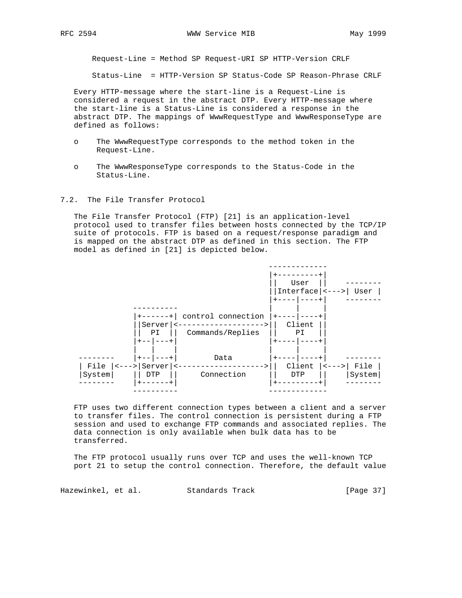Request-Line = Method SP Request-URI SP HTTP-Version CRLF

Status-Line = HTTP-Version SP Status-Code SP Reason-Phrase CRLF

 Every HTTP-message where the start-line is a Request-Line is considered a request in the abstract DTP. Every HTTP-message where the start-line is a Status-Line is considered a response in the abstract DTP. The mappings of WwwRequestType and WwwResponseType are defined as follows:

- o The WwwRequestType corresponds to the method token in the Request-Line.
- o The WwwResponseType corresponds to the Status-Code in the Status-Line.

## 7.2. The File Transfer Protocol

 The File Transfer Protocol (FTP) [21] is an application-level protocol used to transfer files between hosts connected by the TCP/IP suite of protocols. FTP is based on a request/response paradigm and is mapped on the abstract DTP as defined in this section. The FTP model as defined in [21] is depicted below.



 FTP uses two different connection types between a client and a server to transfer files. The control connection is persistent during a FTP session and used to exchange FTP commands and associated replies. The data connection is only available when bulk data has to be transferred.

 The FTP protocol usually runs over TCP and uses the well-known TCP port 21 to setup the control connection. Therefore, the default value

Hazewinkel, et al. Standards Track [Page 37]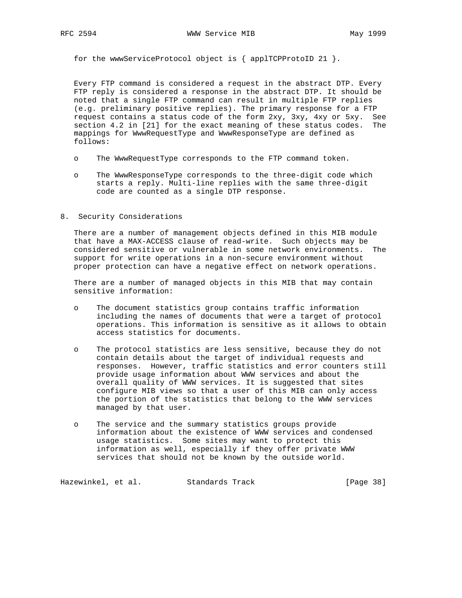for the wwwServiceProtocol object is { applTCPProtoID 21 }.

 Every FTP command is considered a request in the abstract DTP. Every FTP reply is considered a response in the abstract DTP. It should be noted that a single FTP command can result in multiple FTP replies (e.g. preliminary positive replies). The primary response for a FTP request contains a status code of the form 2xy, 3xy, 4xy or 5xy. See section 4.2 in [21] for the exact meaning of these status codes. The mappings for WwwRequestType and WwwResponseType are defined as follows:

- o The WwwRequestType corresponds to the FTP command token.
- o The WwwResponseType corresponds to the three-digit code which starts a reply. Multi-line replies with the same three-digit code are counted as a single DTP response.
- 8. Security Considerations

 There are a number of management objects defined in this MIB module that have a MAX-ACCESS clause of read-write. Such objects may be considered sensitive or vulnerable in some network environments. The support for write operations in a non-secure environment without proper protection can have a negative effect on network operations.

 There are a number of managed objects in this MIB that may contain sensitive information:

- o The document statistics group contains traffic information including the names of documents that were a target of protocol operations. This information is sensitive as it allows to obtain access statistics for documents.
- o The protocol statistics are less sensitive, because they do not contain details about the target of individual requests and responses. However, traffic statistics and error counters still provide usage information about WWW services and about the overall quality of WWW services. It is suggested that sites configure MIB views so that a user of this MIB can only access the portion of the statistics that belong to the WWW services managed by that user.
- o The service and the summary statistics groups provide information about the existence of WWW services and condensed usage statistics. Some sites may want to protect this information as well, especially if they offer private WWW services that should not be known by the outside world.

Hazewinkel, et al. Standards Track [Page 38]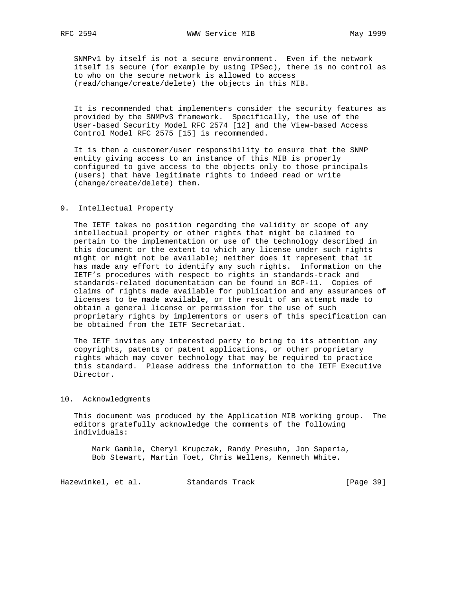SNMPv1 by itself is not a secure environment. Even if the network itself is secure (for example by using IPSec), there is no control as to who on the secure network is allowed to access (read/change/create/delete) the objects in this MIB.

 It is recommended that implementers consider the security features as provided by the SNMPv3 framework. Specifically, the use of the User-based Security Model RFC 2574 [12] and the View-based Access Control Model RFC 2575 [15] is recommended.

 It is then a customer/user responsibility to ensure that the SNMP entity giving access to an instance of this MIB is properly configured to give access to the objects only to those principals (users) that have legitimate rights to indeed read or write (change/create/delete) them.

## 9. Intellectual Property

 The IETF takes no position regarding the validity or scope of any intellectual property or other rights that might be claimed to pertain to the implementation or use of the technology described in this document or the extent to which any license under such rights might or might not be available; neither does it represent that it has made any effort to identify any such rights. Information on the IETF's procedures with respect to rights in standards-track and standards-related documentation can be found in BCP-11. Copies of claims of rights made available for publication and any assurances of licenses to be made available, or the result of an attempt made to obtain a general license or permission for the use of such proprietary rights by implementors or users of this specification can be obtained from the IETF Secretariat.

 The IETF invites any interested party to bring to its attention any copyrights, patents or patent applications, or other proprietary rights which may cover technology that may be required to practice this standard. Please address the information to the IETF Executive Director.

# 10. Acknowledgments

 This document was produced by the Application MIB working group. The editors gratefully acknowledge the comments of the following individuals:

 Mark Gamble, Cheryl Krupczak, Randy Presuhn, Jon Saperia, Bob Stewart, Martin Toet, Chris Wellens, Kenneth White.

Hazewinkel, et al. Standards Track [Page 39]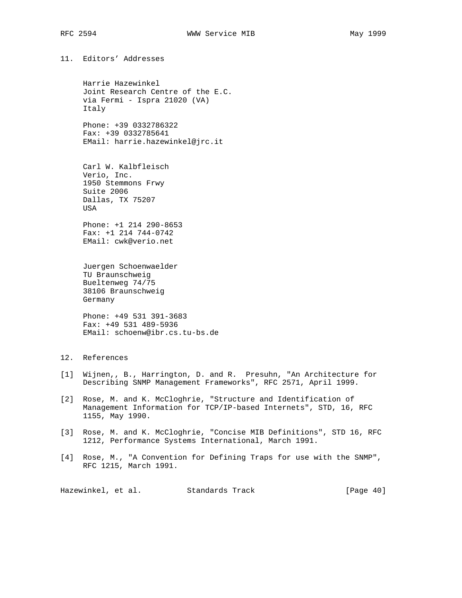11. Editors' Addresses

 Harrie Hazewinkel Joint Research Centre of the E.C. via Fermi - Ispra 21020 (VA) Italy

 Phone: +39 0332786322 Fax: +39 0332785641 EMail: harrie.hazewinkel@jrc.it

 Carl W. Kalbfleisch Verio, Inc. 1950 Stemmons Frwy Suite 2006 Dallas, TX 75207 USA

 Phone: +1 214 290-8653 Fax: +1 214 744-0742 EMail: cwk@verio.net

 Juergen Schoenwaelder TU Braunschweig Bueltenweg 74/75 38106 Braunschweig Germany

 Phone: +49 531 391-3683 Fax: +49 531 489-5936 EMail: schoenw@ibr.cs.tu-bs.de

# 12. References

- [1] Wijnen,, B., Harrington, D. and R. Presuhn, "An Architecture for Describing SNMP Management Frameworks", RFC 2571, April 1999.
- [2] Rose, M. and K. McCloghrie, "Structure and Identification of Management Information for TCP/IP-based Internets", STD, 16, RFC 1155, May 1990.
- [3] Rose, M. and K. McCloghrie, "Concise MIB Definitions", STD 16, RFC 1212, Performance Systems International, March 1991.
- [4] Rose, M., "A Convention for Defining Traps for use with the SNMP", RFC 1215, March 1991.

Hazewinkel, et al. Standards Track [Page 40]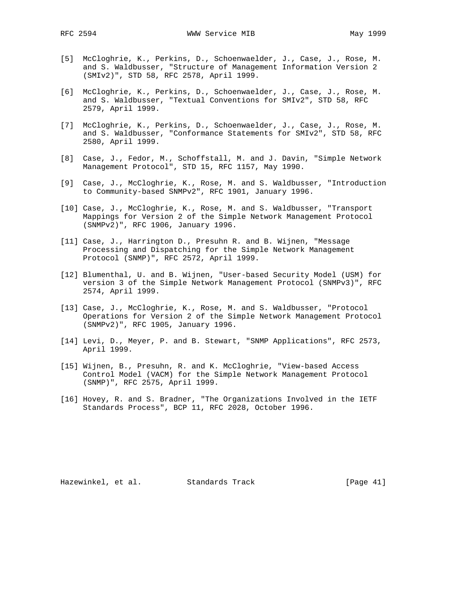- [5] McCloghrie, K., Perkins, D., Schoenwaelder, J., Case, J., Rose, M. and S. Waldbusser, "Structure of Management Information Version 2 (SMIv2)", STD 58, RFC 2578, April 1999.
- [6] McCloghrie, K., Perkins, D., Schoenwaelder, J., Case, J., Rose, M. and S. Waldbusser, "Textual Conventions for SMIv2", STD 58, RFC 2579, April 1999.
- [7] McCloghrie, K., Perkins, D., Schoenwaelder, J., Case, J., Rose, M. and S. Waldbusser, "Conformance Statements for SMIv2", STD 58, RFC 2580, April 1999.
- [8] Case, J., Fedor, M., Schoffstall, M. and J. Davin, "Simple Network Management Protocol", STD 15, RFC 1157, May 1990.
- [9] Case, J., McCloghrie, K., Rose, M. and S. Waldbusser, "Introduction to Community-based SNMPv2", RFC 1901, January 1996.
- [10] Case, J., McCloghrie, K., Rose, M. and S. Waldbusser, "Transport Mappings for Version 2 of the Simple Network Management Protocol (SNMPv2)", RFC 1906, January 1996.
- [11] Case, J., Harrington D., Presuhn R. and B. Wijnen, "Message Processing and Dispatching for the Simple Network Management Protocol (SNMP)", RFC 2572, April 1999.
- [12] Blumenthal, U. and B. Wijnen, "User-based Security Model (USM) for version 3 of the Simple Network Management Protocol (SNMPv3)", RFC 2574, April 1999.
- [13] Case, J., McCloghrie, K., Rose, M. and S. Waldbusser, "Protocol Operations for Version 2 of the Simple Network Management Protocol (SNMPv2)", RFC 1905, January 1996.
- [14] Levi, D., Meyer, P. and B. Stewart, "SNMP Applications", RFC 2573, April 1999.
- [15] Wijnen, B., Presuhn, R. and K. McCloghrie, "View-based Access Control Model (VACM) for the Simple Network Management Protocol (SNMP)", RFC 2575, April 1999.
- [16] Hovey, R. and S. Bradner, "The Organizations Involved in the IETF Standards Process", BCP 11, RFC 2028, October 1996.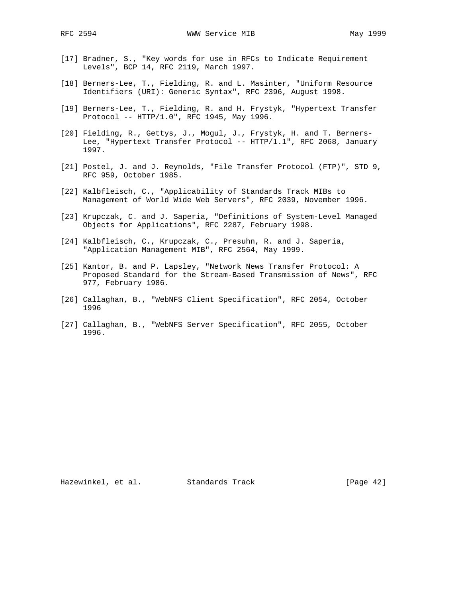- [17] Bradner, S., "Key words for use in RFCs to Indicate Requirement Levels", BCP 14, RFC 2119, March 1997.
- [18] Berners-Lee, T., Fielding, R. and L. Masinter, "Uniform Resource Identifiers (URI): Generic Syntax", RFC 2396, August 1998.
- [19] Berners-Lee, T., Fielding, R. and H. Frystyk, "Hypertext Transfer Protocol -- HTTP/1.0", RFC 1945, May 1996.
- [20] Fielding, R., Gettys, J., Mogul, J., Frystyk, H. and T. Berners- Lee, "Hypertext Transfer Protocol -- HTTP/1.1", RFC 2068, January 1997.
- [21] Postel, J. and J. Reynolds, "File Transfer Protocol (FTP)", STD 9, RFC 959, October 1985.
- [22] Kalbfleisch, C., "Applicability of Standards Track MIBs to Management of World Wide Web Servers", RFC 2039, November 1996.
- [23] Krupczak, C. and J. Saperia, "Definitions of System-Level Managed Objects for Applications", RFC 2287, February 1998.
- [24] Kalbfleisch, C., Krupczak, C., Presuhn, R. and J. Saperia, "Application Management MIB", RFC 2564, May 1999.
- [25] Kantor, B. and P. Lapsley, "Network News Transfer Protocol: A Proposed Standard for the Stream-Based Transmission of News", RFC 977, February 1986.
- [26] Callaghan, B., "WebNFS Client Specification", RFC 2054, October 1996
- [27] Callaghan, B., "WebNFS Server Specification", RFC 2055, October 1996.

Hazewinkel, et al. Standards Track [Page 42]